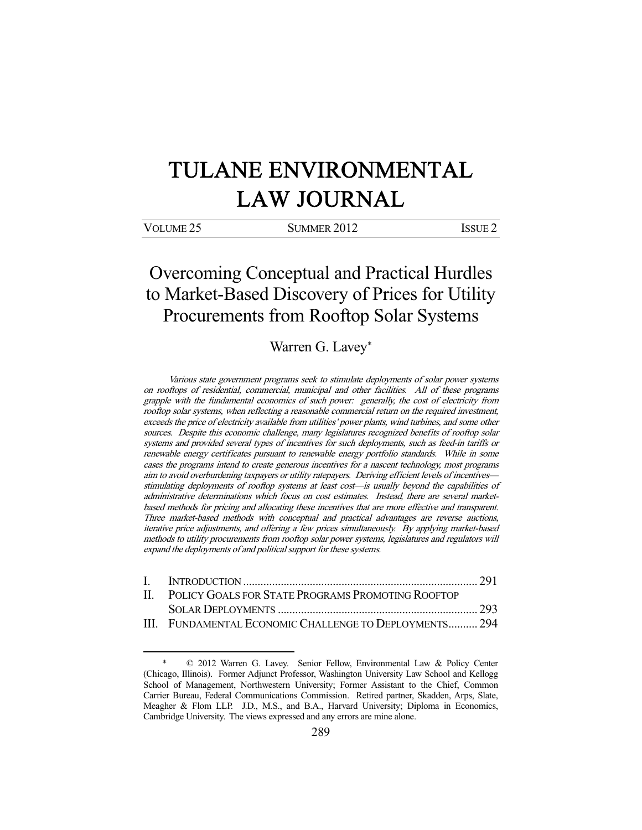# TULANE ENVIRONMENTAL LAW JOURNAL

| VOLUME <sub>25</sub> | <b>SUMMER 2012</b> | <b>ISSUE 2</b> |
|----------------------|--------------------|----------------|
|                      |                    |                |

Overcoming Conceptual and Practical Hurdles to Market-Based Discovery of Prices for Utility Procurements from Rooftop Solar Systems

Warren G. Lavey\*

Various state government programs seek to stimulate deployments of solar power systems on rooftops of residential, commercial, municipal and other facilities. All of these programs grapple with the fundamental economics of such power: generally, the cost of electricity from rooftop solar systems, when reflecting a reasonable commercial return on the required investment, exceeds the price of electricity available from utilities' power plants, wind turbines, and some other sources. Despite this economic challenge, many legislatures recognized benefits of rooftop solar systems and provided several types of incentives for such deployments, such as feed-in tariffs or renewable energy certificates pursuant to renewable energy portfolio standards. While in some cases the programs intend to create generous incentives for a nascent technology, most programs aim to avoid overburdening taxpayers or utility ratepayers. Deriving efficient levels of incentives stimulating deployments of rooftop systems at least cost—is usually beyond the capabilities of administrative determinations which focus on cost estimates. Instead, there are several marketbased methods for pricing and allocating these incentives that are more effective and transparent. Three market-based methods with conceptual and practical advantages are reverse auctions, iterative price adjustments, and offering a few prices simultaneously. By applying market-based methods to utility procurements from rooftop solar power systems, legislatures and regulators will expand the deployments of and political support for these systems.

| II. POLICY GOALS FOR STATE PROGRAMS PROMOTING ROOFTOP  |  |  |  |
|--------------------------------------------------------|--|--|--|
|                                                        |  |  |  |
| III. FUNDAMENTAL ECONOMIC CHALLENGE TO DEPLOYMENTS 294 |  |  |  |

 <sup>\* © 2012</sup> Warren G. Lavey. Senior Fellow, Environmental Law & Policy Center (Chicago, Illinois). Former Adjunct Professor, Washington University Law School and Kellogg School of Management, Northwestern University; Former Assistant to the Chief, Common Carrier Bureau, Federal Communications Commission. Retired partner, Skadden, Arps, Slate, Meagher & Flom LLP. J.D., M.S., and B.A., Harvard University; Diploma in Economics, Cambridge University. The views expressed and any errors are mine alone.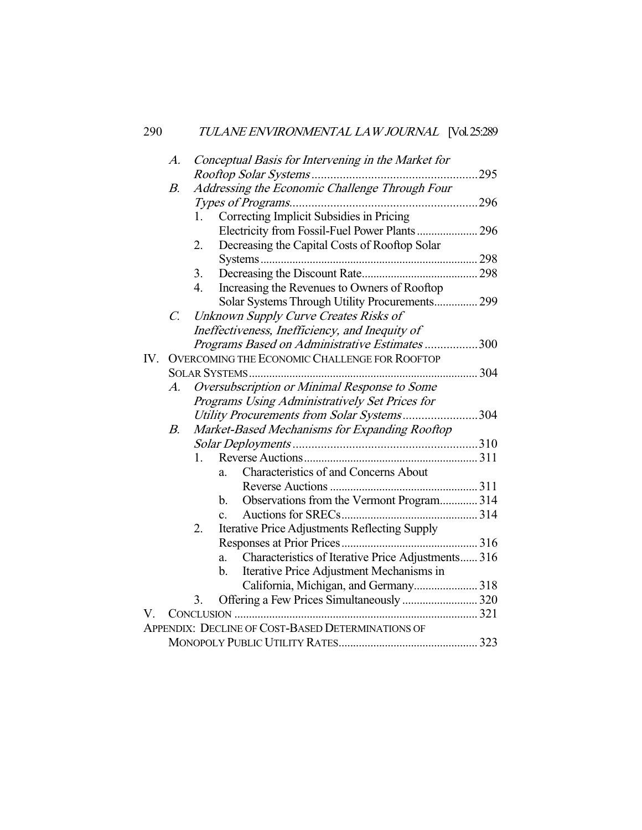|     | A.          |    | Conceptual Basis for Intervening in the Market for       |      |
|-----|-------------|----|----------------------------------------------------------|------|
|     |             |    |                                                          | .295 |
|     | В.          |    | Addressing the Economic Challenge Through Four           |      |
|     |             |    |                                                          | .296 |
|     |             | 1. | Correcting Implicit Subsidies in Pricing                 |      |
|     |             |    | Electricity from Fossil-Fuel Power Plants 296            |      |
|     |             | 2. | Decreasing the Capital Costs of Rooftop Solar            |      |
|     |             |    |                                                          |      |
|     |             | 3. |                                                          |      |
|     |             | 4. | Increasing the Revenues to Owners of Rooftop             |      |
|     |             |    | Solar Systems Through Utility Procurements 299           |      |
|     | $C_{\cdot}$ |    | Unknown Supply Curve Creates Risks of                    |      |
|     |             |    | Ineffectiveness, Inefficiency, and Inequity of           |      |
|     |             |    | Programs Based on Administrative Estimates 300           |      |
| IV. |             |    | <b>OVERCOMING THE ECONOMIC CHALLENGE FOR ROOFTOP</b>     |      |
|     |             |    | <b>SOLAR SYSTEMS</b>                                     | 304  |
|     | A.          |    | Oversubscription or Minimal Response to Some             |      |
|     |             |    | Programs Using Administratively Set Prices for           |      |
|     |             |    | Utility Procurements from Solar Systems304               |      |
|     | $B_{\cdot}$ |    | Market-Based Mechanisms for Expanding Rooftop            |      |
|     |             |    |                                                          |      |
|     |             | 1. |                                                          |      |
|     |             |    | <b>Characteristics of and Concerns About</b><br>a.       |      |
|     |             |    |                                                          |      |
|     |             |    | Observations from the Vermont Program 314<br>b.          |      |
|     |             |    | $\mathbf{c}$ .                                           |      |
|     |             | 2. | Iterative Price Adjustments Reflecting Supply            |      |
|     |             |    |                                                          |      |
|     |             |    | Characteristics of Iterative Price Adjustments 316<br>a. |      |
|     |             |    | Iterative Price Adjustment Mechanisms in<br>b.           |      |
|     |             |    | California, Michigan, and Germany 318                    |      |
|     |             | 3. | Offering a Few Prices Simultaneously  320                |      |
| V.  |             |    |                                                          |      |
|     |             |    | APPENDIX: DECLINE OF COST-BASED DETERMINATIONS OF        |      |
|     |             |    |                                                          |      |
|     |             |    |                                                          |      |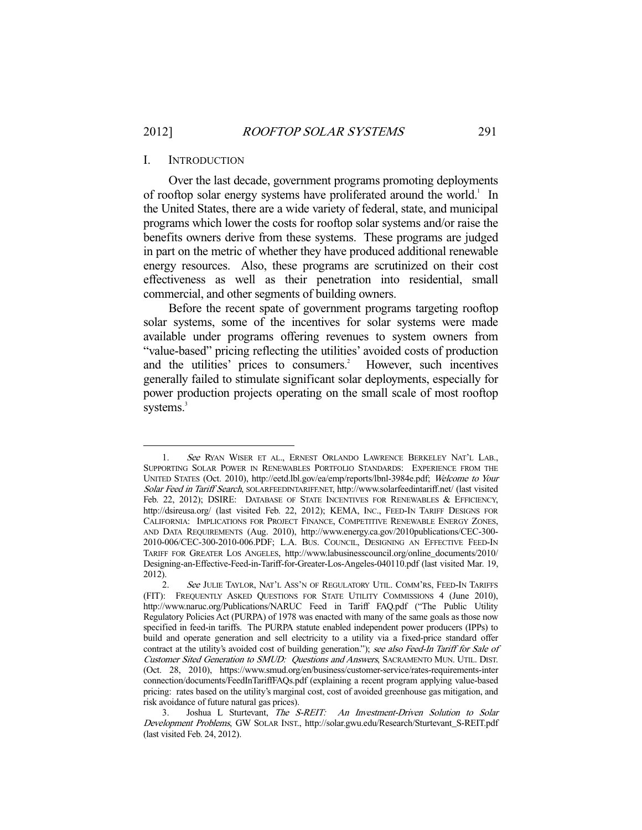### I. INTRODUCTION

 Over the last decade, government programs promoting deployments of rooftop solar energy systems have proliferated around the world.<sup>1</sup> In the United States, there are a wide variety of federal, state, and municipal programs which lower the costs for rooftop solar systems and/or raise the benefits owners derive from these systems. These programs are judged in part on the metric of whether they have produced additional renewable energy resources. Also, these programs are scrutinized on their cost effectiveness as well as their penetration into residential, small commercial, and other segments of building owners.

 Before the recent spate of government programs targeting rooftop solar systems, some of the incentives for solar systems were made available under programs offering revenues to system owners from "value-based" pricing reflecting the utilities' avoided costs of production and the utilities' prices to consumers.<sup>2</sup> However, such incentives generally failed to stimulate significant solar deployments, especially for power production projects operating on the small scale of most rooftop systems.<sup>3</sup>

<sup>-</sup>1. See RYAN WISER ET AL., ERNEST ORLANDO LAWRENCE BERKELEY NAT'L LAB., SUPPORTING SOLAR POWER IN RENEWABLES PORTFOLIO STANDARDS: EXPERIENCE FROM THE UNITED STATES (Oct. 2010), http://eetd.lbl.gov/ea/emp/reports/lbnl-3984e.pdf; Welcome to Your Solar Feed in Tariff Search, SOLARFEEDINTARIFF.NET, http://www.solarfeedintariff.net/ (last visited Feb. 22, 2012); DSIRE: DATABASE OF STATE INCENTIVES FOR RENEWABLES & EFFICIENCY, http://dsireusa.org/ (last visited Feb. 22, 2012); KEMA, INC., FEED-IN TARIFF DESIGNS FOR CALIFORNIA: IMPLICATIONS FOR PROJECT FINANCE, COMPETITIVE RENEWABLE ENERGY ZONES, AND DATA REQUIREMENTS (Aug. 2010), http://www.energy.ca.gov/2010publications/CEC-300- 2010-006/CEC-300-2010-006.PDF; L.A. BUS. COUNCIL, DESIGNING AN EFFECTIVE FEED-IN TARIFF FOR GREATER LOS ANGELES, http://www.labusinesscouncil.org/online\_documents/2010/ Designing-an-Effective-Feed-in-Tariff-for-Greater-Los-Angeles-040110.pdf (last visited Mar. 19, 2012).

<sup>2.</sup> See JULIE TAYLOR, NAT'L ASS'N OF REGULATORY UTIL. COMM'RS, FEED-IN TARIFFS (FIT): FREQUENTLY ASKED QUESTIONS FOR STATE UTILITY COMMISSIONS 4 (June 2010), http://www.naruc.org/Publications/NARUC Feed in Tariff FAQ.pdf ("The Public Utility Regulatory Policies Act (PURPA) of 1978 was enacted with many of the same goals as those now specified in feed-in tariffs. The PURPA statute enabled independent power producers (IPPs) to build and operate generation and sell electricity to a utility via a fixed-price standard offer contract at the utility's avoided cost of building generation."); see also Feed-In Tariff for Sale of Customer Sited Generation to SMUD: Questions and Answers, SACRAMENTO MUN. UTIL. DIST. (Oct. 28, 2010), https://www.smud.org/en/business/customer-service/rates-requirements-inter connection/documents/FeedInTariffFAQs.pdf (explaining a recent program applying value-based pricing: rates based on the utility's marginal cost, cost of avoided greenhouse gas mitigation, and risk avoidance of future natural gas prices).

 <sup>3.</sup> Joshua L Sturtevant, The S-REIT: An Investment-Driven Solution to Solar Development Problems, GW SOLAR INST., http://solar.gwu.edu/Research/Sturtevant\_S-REIT.pdf (last visited Feb. 24, 2012).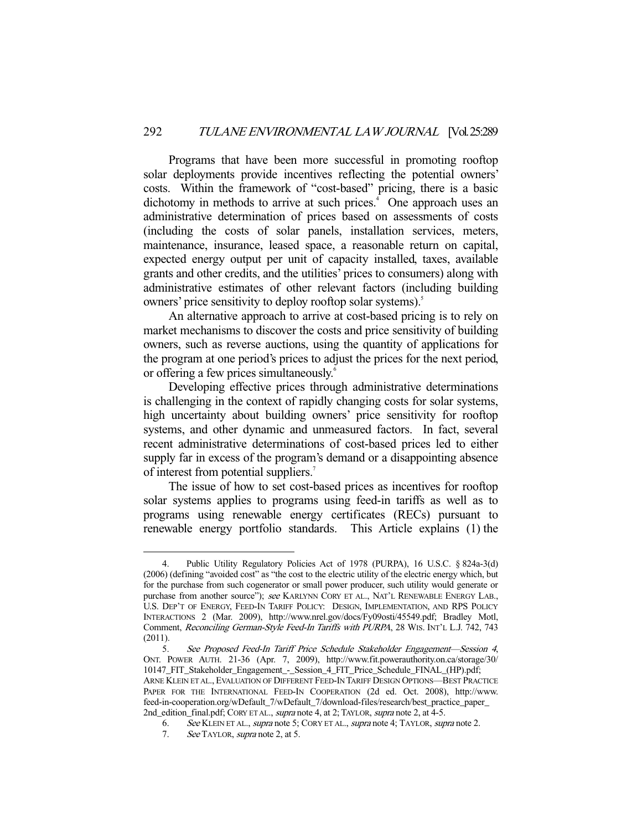Programs that have been more successful in promoting rooftop solar deployments provide incentives reflecting the potential owners' costs. Within the framework of "cost-based" pricing, there is a basic dichotomy in methods to arrive at such prices.<sup>4</sup> One approach uses an administrative determination of prices based on assessments of costs (including the costs of solar panels, installation services, meters, maintenance, insurance, leased space, a reasonable return on capital, expected energy output per unit of capacity installed, taxes, available grants and other credits, and the utilities' prices to consumers) along with administrative estimates of other relevant factors (including building owners' price sensitivity to deploy rooftop solar systems).5

 An alternative approach to arrive at cost-based pricing is to rely on market mechanisms to discover the costs and price sensitivity of building owners, such as reverse auctions, using the quantity of applications for the program at one period's prices to adjust the prices for the next period, or offering a few prices simultaneously.<sup>6</sup>

 Developing effective prices through administrative determinations is challenging in the context of rapidly changing costs for solar systems, high uncertainty about building owners' price sensitivity for rooftop systems, and other dynamic and unmeasured factors. In fact, several recent administrative determinations of cost-based prices led to either supply far in excess of the program's demand or a disappointing absence of interest from potential suppliers.<sup>7</sup>

 The issue of how to set cost-based prices as incentives for rooftop solar systems applies to programs using feed-in tariffs as well as to programs using renewable energy certificates (RECs) pursuant to renewable energy portfolio standards. This Article explains (1) the

 <sup>4.</sup> Public Utility Regulatory Policies Act of 1978 (PURPA), 16 U.S.C. § 824a-3(d) (2006) (defining "avoided cost" as "the cost to the electric utility of the electric energy which, but for the purchase from such cogenerator or small power producer, such utility would generate or purchase from another source"); see KARLYNN CORY ET AL., NAT'L RENEWABLE ENERGY LAB., U.S. DEP'T OF ENERGY, FEED-IN TARIFF POLICY: DESIGN, IMPLEMENTATION, AND RPS POLICY INTERACTIONS 2 (Mar. 2009), http://www.nrel.gov/docs/Fy09osti/45549.pdf; Bradley Motl, Comment, Reconciling German-Style Feed-In Tariffs with PURPA, 28 WIS. INT'L L.J. 742, 743 (2011).

 <sup>5.</sup> See Proposed Feed-In Tariff Price Schedule Stakeholder Engagement—Session 4, ONT. POWER AUTH. 21-36 (Apr. 7, 2009), http://www.fit.powerauthority.on.ca/storage/30/ 10147\_FIT\_Stakeholder\_Engagement\_-\_Session\_4\_FIT\_Price\_Schedule\_FINAL\_(HP).pdf; ARNE KLEIN ET AL., EVALUATION OF DIFFERENT FEED-IN TARIFF DESIGN OPTIONS—BEST PRACTICE PAPER FOR THE INTERNATIONAL FEED-IN COOPERATION (2d ed. Oct. 2008), http://www. feed-in-cooperation.org/wDefault\_7/wDefault\_7/download-files/research/best\_practice\_paper\_ 2nd\_edition\_final.pdf; CORY ET AL., supra note 4, at 2; TAYLOR, supra note 2, at 4-5.

<sup>6.</sup> See KLEIN ET AL., supra note 5; CORY ET AL., supra note 4; TAYLOR, supra note 2.

 <sup>7.</sup> See TAYLOR, supra note 2, at 5.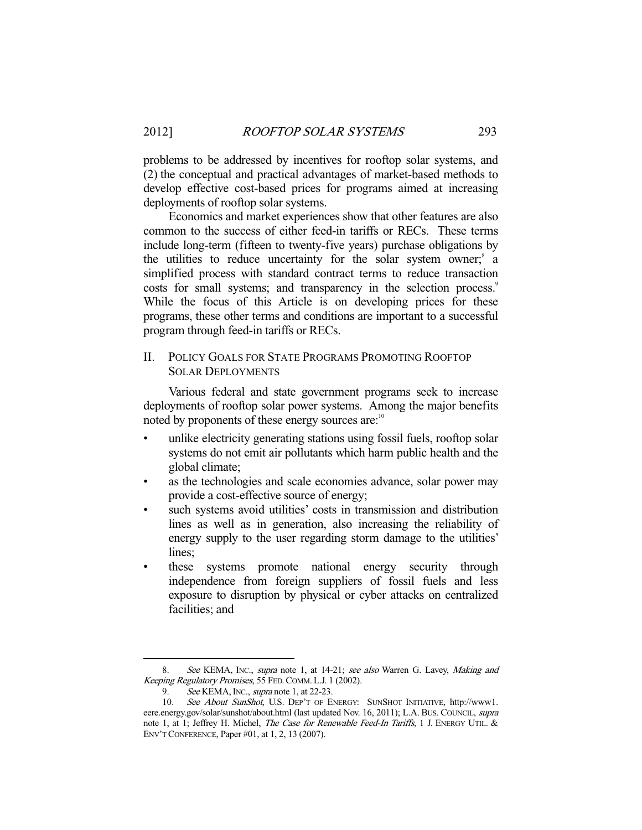problems to be addressed by incentives for rooftop solar systems, and (2) the conceptual and practical advantages of market-based methods to develop effective cost-based prices for programs aimed at increasing deployments of rooftop solar systems.

 Economics and market experiences show that other features are also common to the success of either feed-in tariffs or RECs. These terms include long-term (fifteen to twenty-five years) purchase obligations by the utilities to reduce uncertainty for the solar system owner;<sup>8</sup> a simplified process with standard contract terms to reduce transaction costs for small systems; and transparency in the selection process.<sup>9</sup> While the focus of this Article is on developing prices for these programs, these other terms and conditions are important to a successful program through feed-in tariffs or RECs.

# II. POLICY GOALS FOR STATE PROGRAMS PROMOTING ROOFTOP SOLAR DEPLOYMENTS

 Various federal and state government programs seek to increase deployments of rooftop solar power systems. Among the major benefits noted by proponents of these energy sources are:<sup>10</sup>

- unlike electricity generating stations using fossil fuels, rooftop solar systems do not emit air pollutants which harm public health and the global climate;
- as the technologies and scale economies advance, solar power may provide a cost-effective source of energy;
- such systems avoid utilities' costs in transmission and distribution lines as well as in generation, also increasing the reliability of energy supply to the user regarding storm damage to the utilities' lines;
- these systems promote national energy security through independence from foreign suppliers of fossil fuels and less exposure to disruption by physical or cyber attacks on centralized facilities; and

<sup>8.</sup> See KEMA, INC., supra note 1, at 14-21; see also Warren G. Lavey, Making and Keeping Regulatory Promises, 55 FED.COMM. L.J. 1 (2002).

<sup>9.</sup> See KEMA, INC., supra note 1, at 22-23.

 <sup>10.</sup> See About SunShot, U.S. DEP'T OF ENERGY: SUNSHOT INITIATIVE, http://www1. eere.energy.gov/solar/sunshot/about.html (last updated Nov. 16, 2011); L.A. BUS. COUNCIL, supra note 1, at 1; Jeffrey H. Michel, *The Case for Renewable Feed-In Tariffs*, 1 J. ENERGY UTIL. & ENV'T CONFERENCE, Paper #01, at 1, 2, 13 (2007).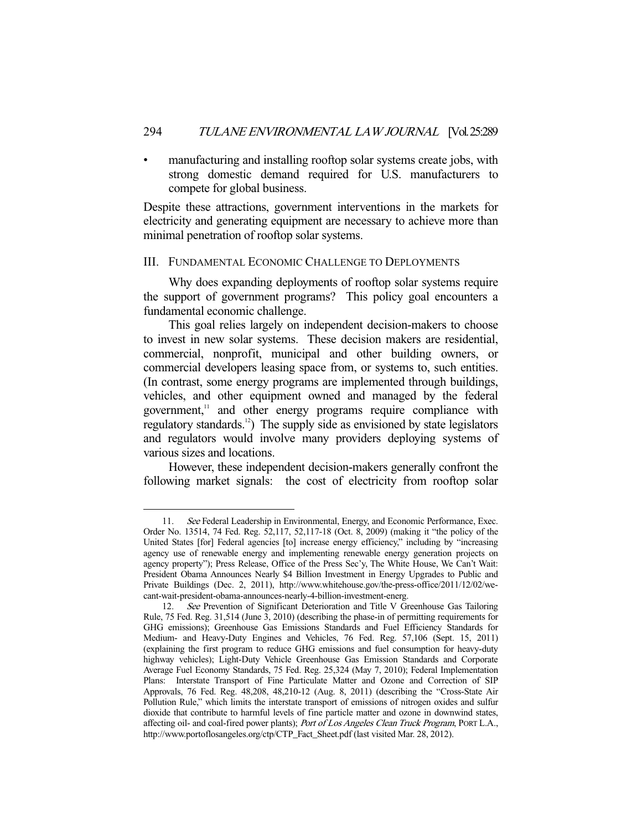manufacturing and installing rooftop solar systems create jobs, with strong domestic demand required for U.S. manufacturers to compete for global business.

Despite these attractions, government interventions in the markets for electricity and generating equipment are necessary to achieve more than minimal penetration of rooftop solar systems.

## III. FUNDAMENTAL ECONOMIC CHALLENGE TO DEPLOYMENTS

 Why does expanding deployments of rooftop solar systems require the support of government programs? This policy goal encounters a fundamental economic challenge.

 This goal relies largely on independent decision-makers to choose to invest in new solar systems. These decision makers are residential, commercial, nonprofit, municipal and other building owners, or commercial developers leasing space from, or systems to, such entities. (In contrast, some energy programs are implemented through buildings, vehicles, and other equipment owned and managed by the federal government,<sup>11</sup> and other energy programs require compliance with regulatory standards.12) The supply side as envisioned by state legislators and regulators would involve many providers deploying systems of various sizes and locations.

 However, these independent decision-makers generally confront the following market signals: the cost of electricity from rooftop solar

<sup>11.</sup> See Federal Leadership in Environmental, Energy, and Economic Performance, Exec. Order No. 13514, 74 Fed. Reg. 52,117, 52,117-18 (Oct. 8, 2009) (making it "the policy of the United States [for] Federal agencies [to] increase energy efficiency," including by "increasing agency use of renewable energy and implementing renewable energy generation projects on agency property"); Press Release, Office of the Press Sec'y, The White House, We Can't Wait: President Obama Announces Nearly \$4 Billion Investment in Energy Upgrades to Public and Private Buildings (Dec. 2, 2011), http://www.whitehouse.gov/the-press-office/2011/12/02/wecant-wait-president-obama-announces-nearly-4-billion-investment-energ.

<sup>12.</sup> See Prevention of Significant Deterioration and Title V Greenhouse Gas Tailoring Rule, 75 Fed. Reg. 31,514 (June 3, 2010) (describing the phase-in of permitting requirements for GHG emissions); Greenhouse Gas Emissions Standards and Fuel Efficiency Standards for Medium- and Heavy-Duty Engines and Vehicles, 76 Fed. Reg. 57,106 (Sept. 15, 2011) (explaining the first program to reduce GHG emissions and fuel consumption for heavy-duty highway vehicles); Light-Duty Vehicle Greenhouse Gas Emission Standards and Corporate Average Fuel Economy Standards, 75 Fed. Reg. 25,324 (May 7, 2010); Federal Implementation Plans: Interstate Transport of Fine Particulate Matter and Ozone and Correction of SIP Approvals, 76 Fed. Reg. 48,208, 48,210-12 (Aug. 8, 2011) (describing the "Cross-State Air Pollution Rule," which limits the interstate transport of emissions of nitrogen oxides and sulfur dioxide that contribute to harmful levels of fine particle matter and ozone in downwind states, affecting oil- and coal-fired power plants); Port of Los Angeles Clean Truck Program, PORT L.A., http://www.portoflosangeles.org/ctp/CTP\_Fact\_Sheet.pdf (last visited Mar. 28, 2012).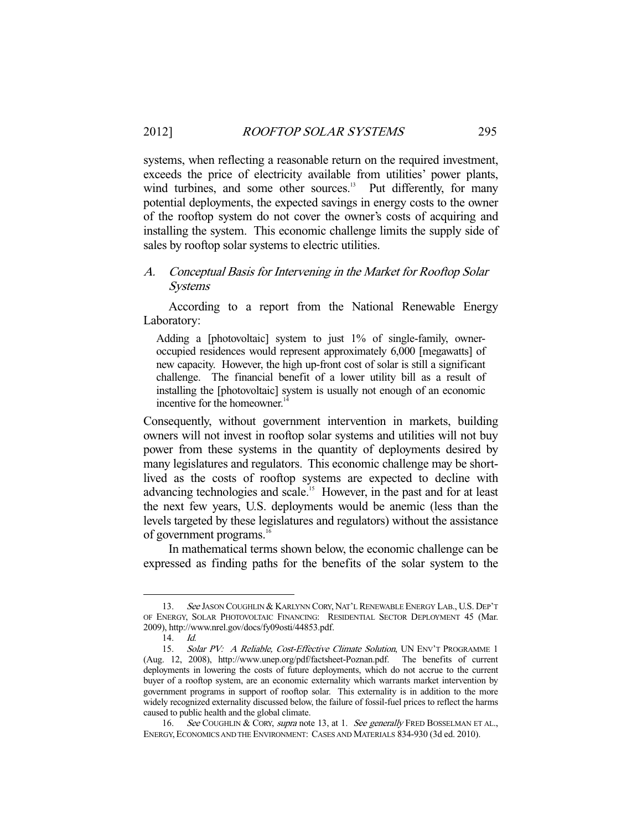systems, when reflecting a reasonable return on the required investment, exceeds the price of electricity available from utilities' power plants, wind turbines, and some other sources.<sup>13</sup> Put differently, for many potential deployments, the expected savings in energy costs to the owner of the rooftop system do not cover the owner's costs of acquiring and installing the system. This economic challenge limits the supply side of sales by rooftop solar systems to electric utilities.

# A. Conceptual Basis for Intervening in the Market for Rooftop Solar Systems

 According to a report from the National Renewable Energy Laboratory:

Adding a [photovoltaic] system to just 1% of single-family, owneroccupied residences would represent approximately 6,000 [megawatts] of new capacity. However, the high up-front cost of solar is still a significant challenge. The financial benefit of a lower utility bill as a result of installing the [photovoltaic] system is usually not enough of an economic incentive for the homeowner. $14$ 

Consequently, without government intervention in markets, building owners will not invest in rooftop solar systems and utilities will not buy power from these systems in the quantity of deployments desired by many legislatures and regulators. This economic challenge may be shortlived as the costs of rooftop systems are expected to decline with advancing technologies and scale.<sup>15</sup> However, in the past and for at least the next few years, U.S. deployments would be anemic (less than the levels targeted by these legislatures and regulators) without the assistance of government programs.<sup>16</sup>

 In mathematical terms shown below, the economic challenge can be expressed as finding paths for the benefits of the solar system to the

<sup>13.</sup> See JASON COUGHLIN & KARLYNN CORY, NAT'L RENEWABLE ENERGY LAB., U.S. DEP'T OF ENERGY, SOLAR PHOTOVOLTAIC FINANCING: RESIDENTIAL SECTOR DEPLOYMENT 45 (Mar. 2009), http://www.nrel.gov/docs/fy09osti/44853.pdf.

 <sup>14.</sup> Id.

<sup>15.</sup> Solar PV: A Reliable, Cost-Effective Climate Solution, UN ENV'T PROGRAMME 1 (Aug. 12, 2008), http://www.unep.org/pdf/factsheet-Poznan.pdf. The benefits of current deployments in lowering the costs of future deployments, which do not accrue to the current buyer of a rooftop system, are an economic externality which warrants market intervention by government programs in support of rooftop solar. This externality is in addition to the more widely recognized externality discussed below, the failure of fossil-fuel prices to reflect the harms caused to public health and the global climate.

<sup>16.</sup> See COUGHLIN & CORY, supra note 13, at 1. See generally FRED BOSSELMAN ET AL., ENERGY, ECONOMICS AND THE ENVIRONMENT: CASES AND MATERIALS 834-930 (3d ed. 2010).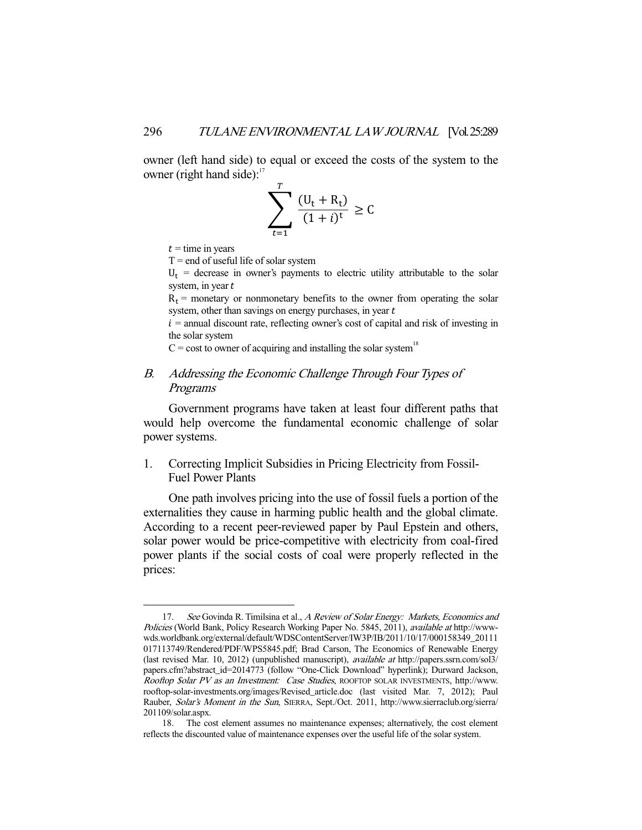owner (left hand side) to equal or exceed the costs of the system to the owner (right hand side):<sup>17</sup>

$$
\sum_{t=1}^{T} \frac{(U_t + R_t)}{(1+i)^t} \ge C
$$

 $t =$  time in years

 $T = end of useful life of solar system$ 

 $U_t$  = decrease in owner's payments to electric utility attributable to the solar system, in year  $t$ 

 $R_t$  = monetary or nonmonetary benefits to the owner from operating the solar system, other than savings on energy purchases, in year  $t$ 

 $i =$  annual discount rate, reflecting owner's cost of capital and risk of investing in the solar system

 $C = \text{cost}$  to owner of acquiring and installing the solar system<sup>18</sup>

# B. Addressing the Economic Challenge Through Four Types of Programs

 Government programs have taken at least four different paths that would help overcome the fundamental economic challenge of solar power systems.

1. Correcting Implicit Subsidies in Pricing Electricity from Fossil-Fuel Power Plants

 One path involves pricing into the use of fossil fuels a portion of the externalities they cause in harming public health and the global climate. According to a recent peer-reviewed paper by Paul Epstein and others, solar power would be price-competitive with electricity from coal-fired power plants if the social costs of coal were properly reflected in the prices:

<sup>17.</sup> See Govinda R. Timilsina et al., A Review of Solar Energy: Markets, Economics and Policies (World Bank, Policy Research Working Paper No. 5845, 2011), available at http://wwwwds.worldbank.org/external/default/WDSContentServer/IW3P/IB/2011/10/17/000158349\_20111 017113749/Rendered/PDF/WPS5845.pdf; Brad Carson, The Economics of Renewable Energy (last revised Mar. 10, 2012) (unpublished manuscript), available at http://papers.ssrn.com/sol3/ papers.cfm?abstract\_id=2014773 (follow "One-Click Download" hyperlink); Durward Jackson, Rooftop \$olar PV as an Investment: Case Studies, ROOFTOP SOLAR INVESTMENTS, http://www. rooftop-solar-investments.org/images/Revised\_article.doc (last visited Mar. 7, 2012); Paul Rauber, Solar's Moment in the Sun, SIERRA, Sept./Oct. 2011, http://www.sierraclub.org/sierra/ 201109/solar.aspx.

 <sup>18.</sup> The cost element assumes no maintenance expenses; alternatively, the cost element reflects the discounted value of maintenance expenses over the useful life of the solar system.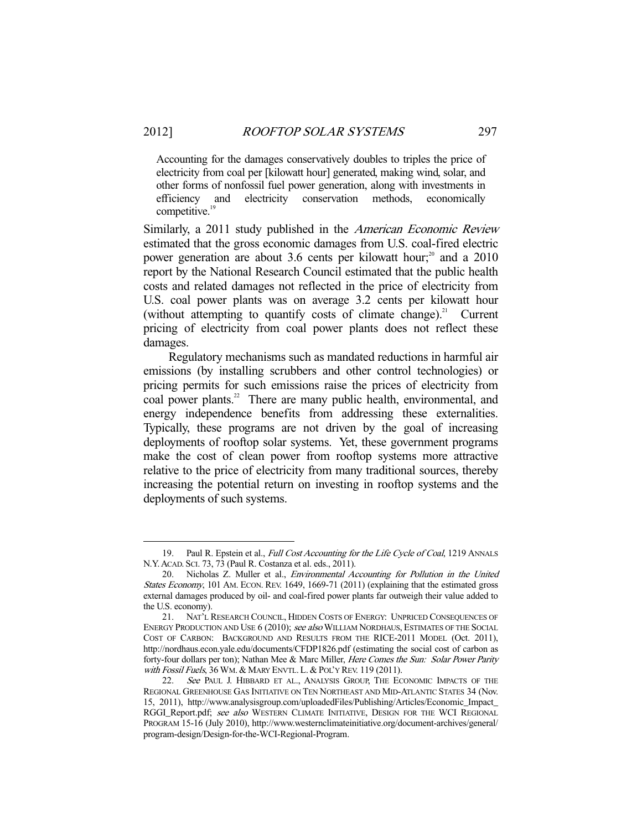-

Accounting for the damages conservatively doubles to triples the price of electricity from coal per [kilowatt hour] generated, making wind, solar, and other forms of nonfossil fuel power generation, along with investments in efficiency and electricity conservation methods, economically competitive.<sup>19</sup>

Similarly, a 2011 study published in the American Economic Review estimated that the gross economic damages from U.S. coal-fired electric power generation are about 3.6 cents per kilowatt hour;<sup>20</sup> and a 2010 report by the National Research Council estimated that the public health costs and related damages not reflected in the price of electricity from U.S. coal power plants was on average 3.2 cents per kilowatt hour (without attempting to quantify costs of climate change).<sup>21</sup> Current pricing of electricity from coal power plants does not reflect these damages.

 Regulatory mechanisms such as mandated reductions in harmful air emissions (by installing scrubbers and other control technologies) or pricing permits for such emissions raise the prices of electricity from coal power plants.<sup>22</sup> There are many public health, environmental, and energy independence benefits from addressing these externalities. Typically, these programs are not driven by the goal of increasing deployments of rooftop solar systems. Yet, these government programs make the cost of clean power from rooftop systems more attractive relative to the price of electricity from many traditional sources, thereby increasing the potential return on investing in rooftop systems and the deployments of such systems.

<sup>19.</sup> Paul R. Epstein et al., Full Cost Accounting for the Life Cycle of Coal, 1219 ANNALS N.Y.ACAD. SCI. 73, 73 (Paul R. Costanza et al. eds., 2011).

 <sup>20.</sup> Nicholas Z. Muller et al., Environmental Accounting for Pollution in the United States Economy, 101 AM. ECON. REV. 1649, 1669-71 (2011) (explaining that the estimated gross external damages produced by oil- and coal-fired power plants far outweigh their value added to the U.S. economy).

 <sup>21.</sup> NAT'L RESEARCH COUNCIL, HIDDEN COSTS OF ENERGY: UNPRICED CONSEQUENCES OF ENERGY PRODUCTION AND USE 6 (2010); see also WILLIAM NORDHAUS, ESTIMATES OF THE SOCIAL COST OF CARBON: BACKGROUND AND RESULTS FROM THE RICE-2011 MODEL (Oct. 2011), http://nordhaus.econ.yale.edu/documents/CFDP1826.pdf (estimating the social cost of carbon as forty-four dollars per ton); Nathan Mee & Marc Miller, Here Comes the Sun: Solar Power Parity with Fossil Fuels, 36 WM. & MARY ENVTL. L. & POL'Y REV. 119 (2011).<br>22. See PAUL J. HIBBARD ET AL., ANALYSIS GROUP. THE EC

See PAUL J. HIBBARD ET AL., ANALYSIS GROUP, THE ECONOMIC IMPACTS OF THE REGIONAL GREENHOUSE GAS INITIATIVE ON TEN NORTHEAST AND MID-ATLANTIC STATES 34 (Nov. 15, 2011), http://www.analysisgroup.com/uploadedFiles/Publishing/Articles/Economic\_Impact\_ RGGI\_Report.pdf; see also WESTERN CLIMATE INITIATIVE, DESIGN FOR THE WCI REGIONAL PROGRAM 15-16 (July 2010), http://www.westernclimateinitiative.org/document-archives/general/ program-design/Design-for-the-WCI-Regional-Program.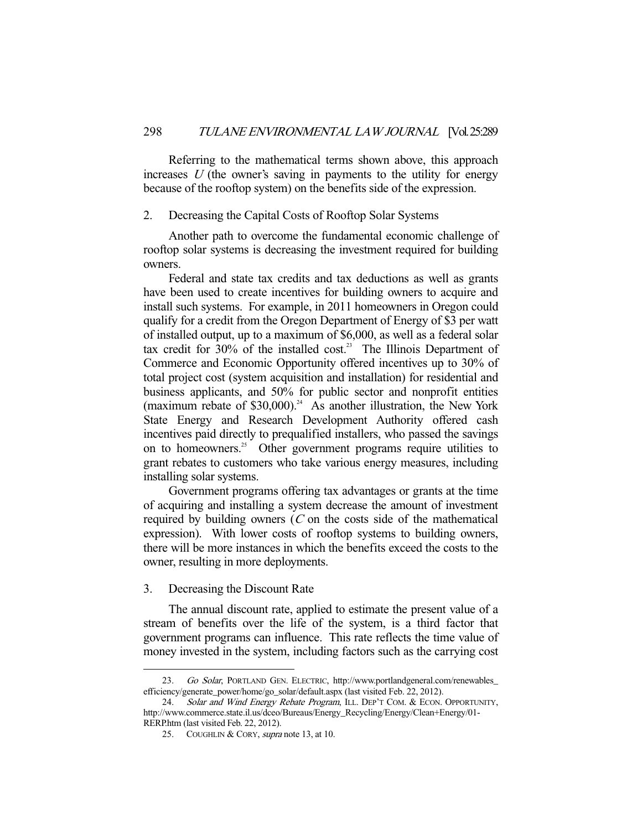Referring to the mathematical terms shown above, this approach increases  $U$  (the owner's saving in payments to the utility for energy because of the rooftop system) on the benefits side of the expression.

## 2. Decreasing the Capital Costs of Rooftop Solar Systems

 Another path to overcome the fundamental economic challenge of rooftop solar systems is decreasing the investment required for building owners.

 Federal and state tax credits and tax deductions as well as grants have been used to create incentives for building owners to acquire and install such systems. For example, in 2011 homeowners in Oregon could qualify for a credit from the Oregon Department of Energy of \$3 per watt of installed output, up to a maximum of \$6,000, as well as a federal solar tax credit for  $30\%$  of the installed cost.<sup>23</sup> The Illinois Department of Commerce and Economic Opportunity offered incentives up to 30% of total project cost (system acquisition and installation) for residential and business applicants, and 50% for public sector and nonprofit entities (maximum rebate of  $$30,000$ ).<sup>24</sup> As another illustration, the New York State Energy and Research Development Authority offered cash incentives paid directly to prequalified installers, who passed the savings on to homeowners.<sup>25</sup> Other government programs require utilities to grant rebates to customers who take various energy measures, including installing solar systems.

 Government programs offering tax advantages or grants at the time of acquiring and installing a system decrease the amount of investment required by building owners  $(C$  on the costs side of the mathematical expression). With lower costs of rooftop systems to building owners, there will be more instances in which the benefits exceed the costs to the owner, resulting in more deployments.

3. Decreasing the Discount Rate

-

 The annual discount rate, applied to estimate the present value of a stream of benefits over the life of the system, is a third factor that government programs can influence. This rate reflects the time value of money invested in the system, including factors such as the carrying cost

<sup>23.</sup> Go Solar, PORTLAND GEN. ELECTRIC, http://www.portlandgeneral.com/renewables\_ efficiency/generate\_power/home/go\_solar/default.aspx (last visited Feb. 22, 2012).

<sup>24.</sup> Solar and Wind Energy Rebate Program, ILL. DEP'T COM. & ECON. OPPORTUNITY, http://www.commerce.state.il.us/dceo/Bureaus/Energy\_Recycling/Energy/Clean+Energy/01- RERP.htm (last visited Feb. 22, 2012).

<sup>25.</sup> COUGHLIN & CORY, *supra* note 13, at 10.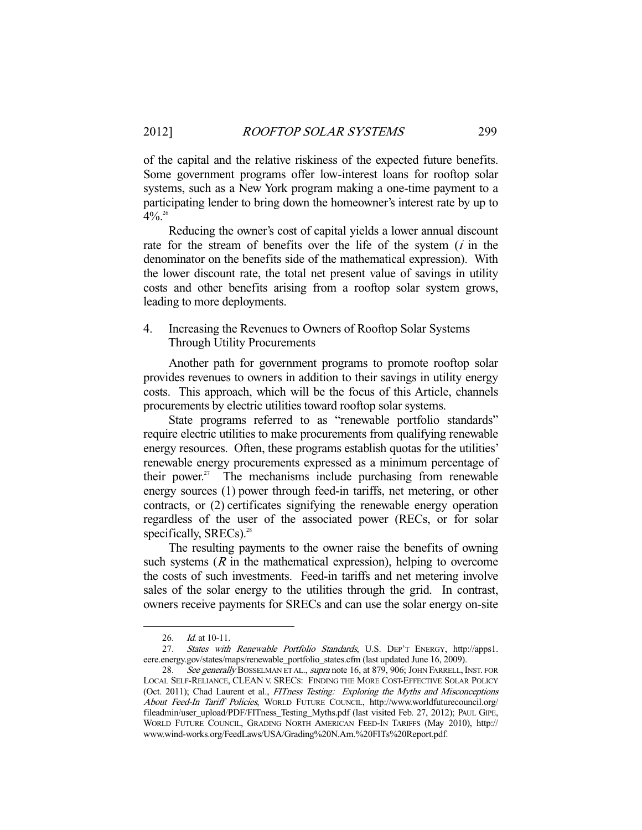of the capital and the relative riskiness of the expected future benefits. Some government programs offer low-interest loans for rooftop solar systems, such as a New York program making a one-time payment to a participating lender to bring down the homeowner's interest rate by up to  $4\%$ <sup>26</sup>

 Reducing the owner's cost of capital yields a lower annual discount rate for the stream of benefits over the life of the system  $(i$  in the denominator on the benefits side of the mathematical expression). With the lower discount rate, the total net present value of savings in utility costs and other benefits arising from a rooftop solar system grows, leading to more deployments.

# 4. Increasing the Revenues to Owners of Rooftop Solar Systems Through Utility Procurements

 Another path for government programs to promote rooftop solar provides revenues to owners in addition to their savings in utility energy costs. This approach, which will be the focus of this Article, channels procurements by electric utilities toward rooftop solar systems.

 State programs referred to as "renewable portfolio standards" require electric utilities to make procurements from qualifying renewable energy resources. Often, these programs establish quotas for the utilities' renewable energy procurements expressed as a minimum percentage of their power. $27$  The mechanisms include purchasing from renewable energy sources (1) power through feed-in tariffs, net metering, or other contracts, or (2) certificates signifying the renewable energy operation regardless of the user of the associated power (RECs, or for solar specifically,  $SREGS$ <sup>28</sup>.

 The resulting payments to the owner raise the benefits of owning such systems  $(R$  in the mathematical expression), helping to overcome the costs of such investments. Feed-in tariffs and net metering involve sales of the solar energy to the utilities through the grid. In contrast, owners receive payments for SRECs and can use the solar energy on-site

<sup>26.</sup> *Id.* at 10-11.

 <sup>27.</sup> States with Renewable Portfolio Standards, U.S. DEP'T ENERGY, http://apps1. eere.energy.gov/states/maps/renewable\_portfolio\_states.cfm (last updated June 16, 2009).<br>28. See generally BOSSELMAN ET AL., supra note 16, at 879, 906; JOHN FARRELL, I

See generally BOSSELMAN ET AL., supra note 16, at 879, 906; JOHN FARRELL, INST. FOR LOCAL SELF-RELIANCE, CLEAN V. SRECS: FINDING THE MORE COST-EFFECTIVE SOLAR POLICY (Oct. 2011); Chad Laurent et al., FITness Testing: Exploring the Myths and Misconceptions About Feed-In Tariff Policies, WORLD FUTURE COUNCIL, http://www.worldfuturecouncil.org/ fileadmin/user\_upload/PDF/FITness\_Testing\_Myths.pdf (last visited Feb. 27, 2012); PAUL GIPE, WORLD FUTURE COUNCIL, GRADING NORTH AMERICAN FEED-IN TARIFFS (May 2010), http:// www.wind-works.org/FeedLaws/USA/Grading%20N.Am.%20FITs%20Report.pdf.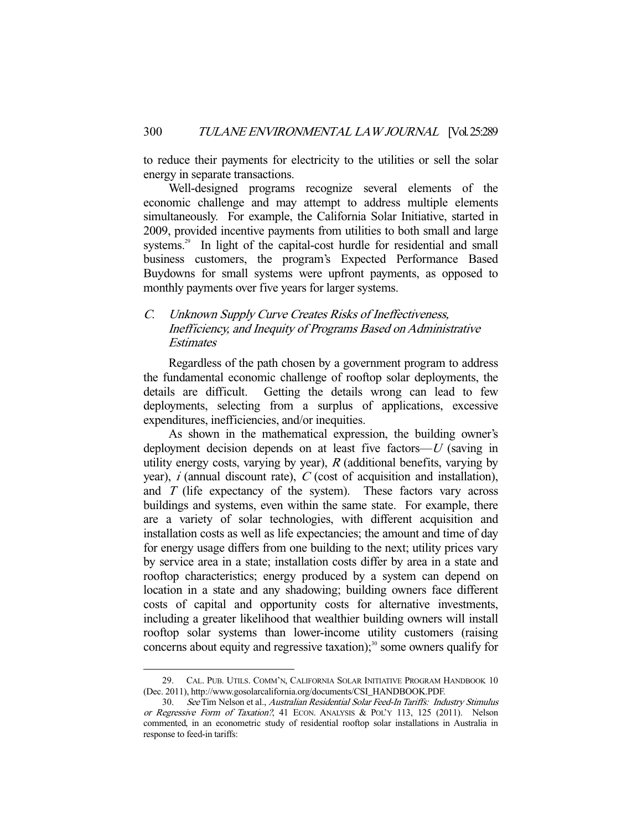to reduce their payments for electricity to the utilities or sell the solar energy in separate transactions.

 Well-designed programs recognize several elements of the economic challenge and may attempt to address multiple elements simultaneously. For example, the California Solar Initiative, started in 2009, provided incentive payments from utilities to both small and large systems.<sup>29</sup> In light of the capital-cost hurdle for residential and small business customers, the program's Expected Performance Based Buydowns for small systems were upfront payments, as opposed to monthly payments over five years for larger systems.

# C. Unknown Supply Curve Creates Risks of Ineffectiveness, Inefficiency, and Inequity of Programs Based on Administrative **Estimates**

 Regardless of the path chosen by a government program to address the fundamental economic challenge of rooftop solar deployments, the details are difficult. Getting the details wrong can lead to few deployments, selecting from a surplus of applications, excessive expenditures, inefficiencies, and/or inequities.

 As shown in the mathematical expression, the building owner's deployment decision depends on at least five factors— $U$  (saving in utility energy costs, varying by year),  $R$  (additional benefits, varying by year),  $i$  (annual discount rate),  $C$  (cost of acquisition and installation), and  $T$  (life expectancy of the system). These factors vary across buildings and systems, even within the same state. For example, there are a variety of solar technologies, with different acquisition and installation costs as well as life expectancies; the amount and time of day for energy usage differs from one building to the next; utility prices vary by service area in a state; installation costs differ by area in a state and rooftop characteristics; energy produced by a system can depend on location in a state and any shadowing; building owners face different costs of capital and opportunity costs for alternative investments, including a greater likelihood that wealthier building owners will install rooftop solar systems than lower-income utility customers (raising concerns about equity and regressive taxation); $30$  some owners qualify for

 <sup>29.</sup> CAL. PUB. UTILS. COMM'N, CALIFORNIA SOLAR INITIATIVE PROGRAM HANDBOOK 10 (Dec. 2011), http://www.gosolarcalifornia.org/documents/CSI\_HANDBOOK.PDF.

<sup>30.</sup> See Tim Nelson et al., Australian Residential Solar Feed-In Tariffs: Industry Stimulus or Regressive Form of Taxation?, 41 ECON. ANALYSIS & POL'Y 113, 125 (2011). Nelson commented, in an econometric study of residential rooftop solar installations in Australia in response to feed-in tariffs: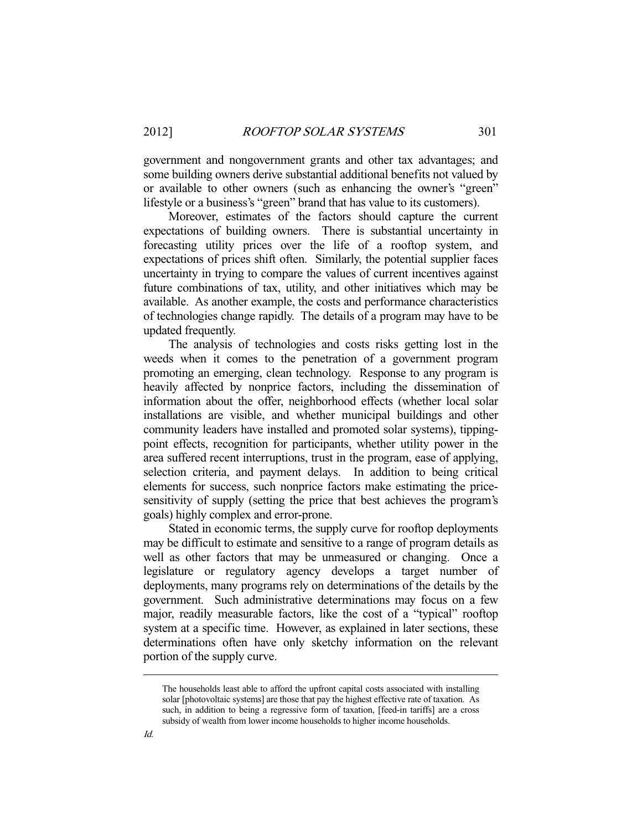government and nongovernment grants and other tax advantages; and some building owners derive substantial additional benefits not valued by or available to other owners (such as enhancing the owner's "green" lifestyle or a business's "green" brand that has value to its customers).

 Moreover, estimates of the factors should capture the current expectations of building owners. There is substantial uncertainty in forecasting utility prices over the life of a rooftop system, and expectations of prices shift often. Similarly, the potential supplier faces uncertainty in trying to compare the values of current incentives against future combinations of tax, utility, and other initiatives which may be available. As another example, the costs and performance characteristics of technologies change rapidly. The details of a program may have to be updated frequently.

 The analysis of technologies and costs risks getting lost in the weeds when it comes to the penetration of a government program promoting an emerging, clean technology. Response to any program is heavily affected by nonprice factors, including the dissemination of information about the offer, neighborhood effects (whether local solar installations are visible, and whether municipal buildings and other community leaders have installed and promoted solar systems), tippingpoint effects, recognition for participants, whether utility power in the area suffered recent interruptions, trust in the program, ease of applying, selection criteria, and payment delays. In addition to being critical elements for success, such nonprice factors make estimating the pricesensitivity of supply (setting the price that best achieves the program's goals) highly complex and error-prone.

 Stated in economic terms, the supply curve for rooftop deployments may be difficult to estimate and sensitive to a range of program details as well as other factors that may be unmeasured or changing. Once a legislature or regulatory agency develops a target number of deployments, many programs rely on determinations of the details by the government. Such administrative determinations may focus on a few major, readily measurable factors, like the cost of a "typical" rooftop system at a specific time. However, as explained in later sections, these determinations often have only sketchy information on the relevant portion of the supply curve.

The households least able to afford the upfront capital costs associated with installing solar [photovoltaic systems] are those that pay the highest effective rate of taxation. As such, in addition to being a regressive form of taxation, [feed-in tariffs] are a cross subsidy of wealth from lower income households to higher income households.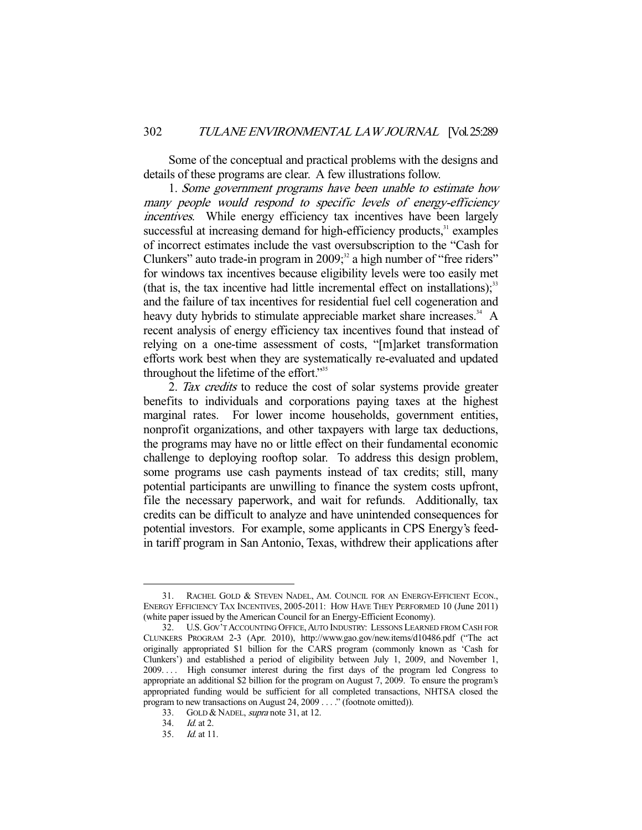Some of the conceptual and practical problems with the designs and details of these programs are clear. A few illustrations follow.

 1. Some government programs have been unable to estimate how many people would respond to specific levels of energy-efficiency incentives. While energy efficiency tax incentives have been largely successful at increasing demand for high-efficiency products,<sup>31</sup> examples of incorrect estimates include the vast oversubscription to the "Cash for Clunkers" auto trade-in program in  $2009$ ;  $2^2$  a high number of "free riders" for windows tax incentives because eligibility levels were too easily met (that is, the tax incentive had little incremental effect on installations); $33$ and the failure of tax incentives for residential fuel cell cogeneration and heavy duty hybrids to stimulate appreciable market share increases.<sup>34</sup> A recent analysis of energy efficiency tax incentives found that instead of relying on a one-time assessment of costs, "[m]arket transformation efforts work best when they are systematically re-evaluated and updated throughout the lifetime of the effort."<sup>35</sup>

2. Tax credits to reduce the cost of solar systems provide greater benefits to individuals and corporations paying taxes at the highest marginal rates. For lower income households, government entities, nonprofit organizations, and other taxpayers with large tax deductions, the programs may have no or little effect on their fundamental economic challenge to deploying rooftop solar. To address this design problem, some programs use cash payments instead of tax credits; still, many potential participants are unwilling to finance the system costs upfront, file the necessary paperwork, and wait for refunds. Additionally, tax credits can be difficult to analyze and have unintended consequences for potential investors. For example, some applicants in CPS Energy's feedin tariff program in San Antonio, Texas, withdrew their applications after

 <sup>31.</sup> RACHEL GOLD & STEVEN NADEL, AM. COUNCIL FOR AN ENERGY-EFFICIENT ECON., ENERGY EFFICIENCY TAX INCENTIVES, 2005-2011: HOW HAVE THEY PERFORMED 10 (June 2011) (white paper issued by the American Council for an Energy-Efficient Economy).

 <sup>32.</sup> U.S. GOV'T ACCOUNTING OFFICE,AUTO INDUSTRY: LESSONS LEARNED FROM CASH FOR CLUNKERS PROGRAM 2-3 (Apr. 2010), http://www.gao.gov/new.items/d10486.pdf ("The act originally appropriated \$1 billion for the CARS program (commonly known as 'Cash for Clunkers') and established a period of eligibility between July 1, 2009, and November 1, 2009. . . . High consumer interest during the first days of the program led Congress to appropriate an additional \$2 billion for the program on August 7, 2009. To ensure the program's appropriated funding would be sufficient for all completed transactions, NHTSA closed the program to new transactions on August 24, 2009 . . . ." (footnote omitted)).

<sup>33.</sup> GOLD & NADEL, supra note 31, at 12.

 <sup>34.</sup> Id. at 2.

 <sup>35.</sup> Id. at 11.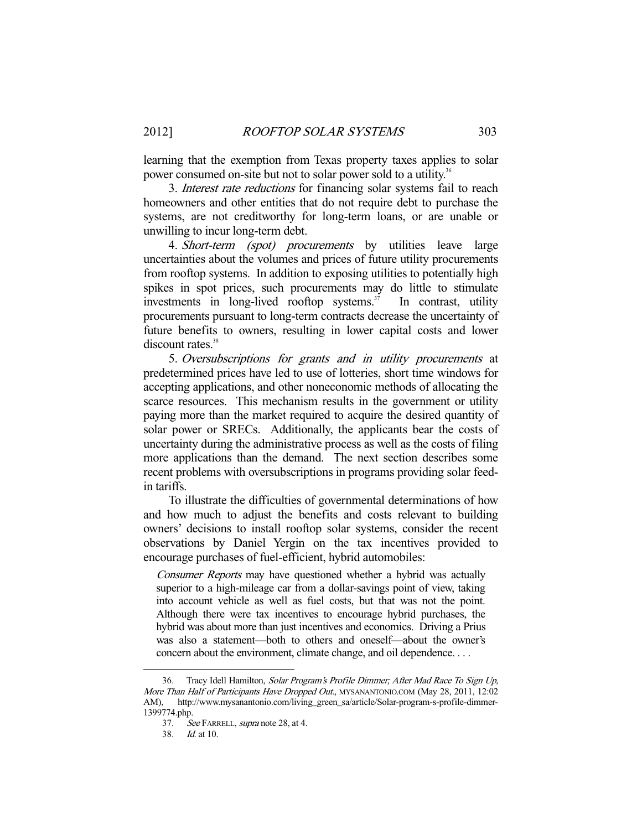learning that the exemption from Texas property taxes applies to solar power consumed on-site but not to solar power sold to a utility.<sup>36</sup>

3. *Interest rate reductions* for financing solar systems fail to reach homeowners and other entities that do not require debt to purchase the systems, are not creditworthy for long-term loans, or are unable or unwilling to incur long-term debt.

4. *Short-term (spot) procurements* by utilities leave large uncertainties about the volumes and prices of future utility procurements from rooftop systems. In addition to exposing utilities to potentially high spikes in spot prices, such procurements may do little to stimulate investments in long-lived rooftop systems.<sup>37</sup> In contrast, utility procurements pursuant to long-term contracts decrease the uncertainty of future benefits to owners, resulting in lower capital costs and lower discount rates.<sup>38</sup>

 5. Oversubscriptions for grants and in utility procurements at predetermined prices have led to use of lotteries, short time windows for accepting applications, and other noneconomic methods of allocating the scarce resources. This mechanism results in the government or utility paying more than the market required to acquire the desired quantity of solar power or SRECs. Additionally, the applicants bear the costs of uncertainty during the administrative process as well as the costs of filing more applications than the demand. The next section describes some recent problems with oversubscriptions in programs providing solar feedin tariffs.

 To illustrate the difficulties of governmental determinations of how and how much to adjust the benefits and costs relevant to building owners' decisions to install rooftop solar systems, consider the recent observations by Daniel Yergin on the tax incentives provided to encourage purchases of fuel-efficient, hybrid automobiles:

Consumer Reports may have questioned whether a hybrid was actually superior to a high-mileage car from a dollar-savings point of view, taking into account vehicle as well as fuel costs, but that was not the point. Although there were tax incentives to encourage hybrid purchases, the hybrid was about more than just incentives and economics. Driving a Prius was also a statement—both to others and oneself—about the owner's concern about the environment, climate change, and oil dependence. . . .

 <sup>36.</sup> Tracy Idell Hamilton, Solar Program's Profile Dimmer; After Mad Race To Sign Up, More Than Half of Participants Have Dropped Out., MYSANANTONIO.COM (May 28, 2011, 12:02 AM), http://www.mysanantonio.com/living\_green\_sa/article/Solar-program-s-profile-dimmer-1399774.php.

<sup>37.</sup> See FARRELL, supra note 28, at 4.

 <sup>38.</sup> Id. at 10.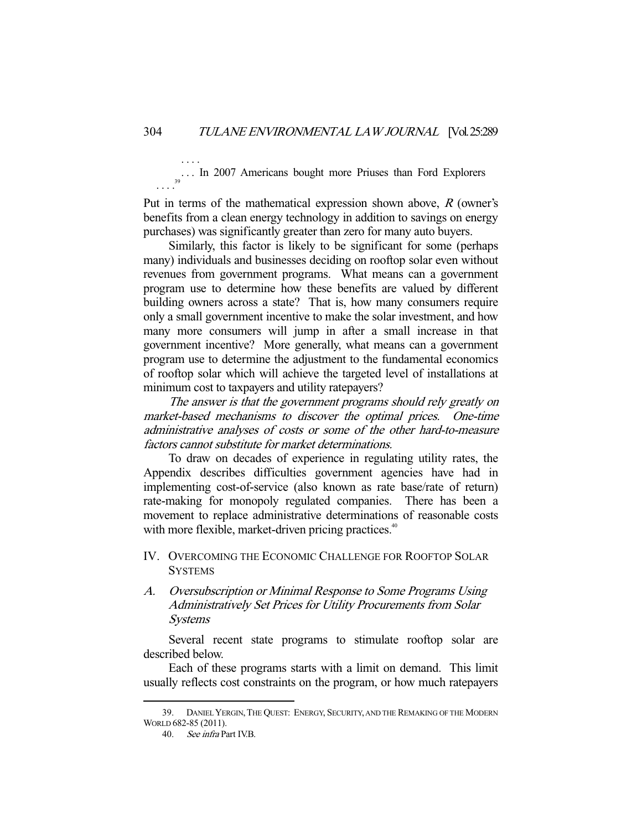. . . In 2007 Americans bought more Priuses than Ford Explorers  $\cdots$ <sup>39</sup>

Put in terms of the mathematical expression shown above,  $R$  (owner's benefits from a clean energy technology in addition to savings on energy purchases) was significantly greater than zero for many auto buyers.

 Similarly, this factor is likely to be significant for some (perhaps many) individuals and businesses deciding on rooftop solar even without revenues from government programs. What means can a government program use to determine how these benefits are valued by different building owners across a state? That is, how many consumers require only a small government incentive to make the solar investment, and how many more consumers will jump in after a small increase in that government incentive? More generally, what means can a government program use to determine the adjustment to the fundamental economics of rooftop solar which will achieve the targeted level of installations at minimum cost to taxpayers and utility ratepayers?

The answer is that the government programs should rely greatly on market-based mechanisms to discover the optimal prices. One-time administrative analyses of costs or some of the other hard-to-measure factors cannot substitute for market determinations.

 To draw on decades of experience in regulating utility rates, the Appendix describes difficulties government agencies have had in implementing cost-of-service (also known as rate base/rate of return) rate-making for monopoly regulated companies. There has been a movement to replace administrative determinations of reasonable costs with more flexible, market-driven pricing practices.<sup>40</sup>

- IV. OVERCOMING THE ECONOMIC CHALLENGE FOR ROOFTOP SOLAR **SYSTEMS**
- A. Oversubscription or Minimal Response to Some Programs Using Administratively Set Prices for Utility Procurements from Solar Systems

 Several recent state programs to stimulate rooftop solar are described below.

 Each of these programs starts with a limit on demand. This limit usually reflects cost constraints on the program, or how much ratepayers

-

. . . .

 <sup>39.</sup> DANIEL YERGIN,THE QUEST: ENERGY, SECURITY, AND THE REMAKING OF THE MODERN WORLD 682-85 (2011).

 <sup>40.</sup> See infra Part IV.B.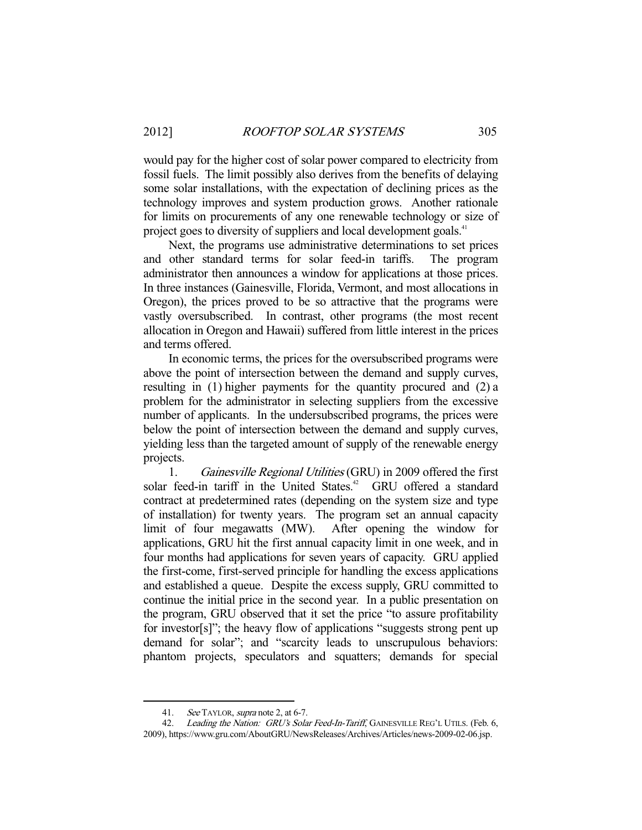would pay for the higher cost of solar power compared to electricity from fossil fuels. The limit possibly also derives from the benefits of delaying some solar installations, with the expectation of declining prices as the technology improves and system production grows. Another rationale for limits on procurements of any one renewable technology or size of project goes to diversity of suppliers and local development goals.<sup>41</sup>

 Next, the programs use administrative determinations to set prices and other standard terms for solar feed-in tariffs. The program administrator then announces a window for applications at those prices. In three instances (Gainesville, Florida, Vermont, and most allocations in Oregon), the prices proved to be so attractive that the programs were vastly oversubscribed. In contrast, other programs (the most recent allocation in Oregon and Hawaii) suffered from little interest in the prices and terms offered.

 In economic terms, the prices for the oversubscribed programs were above the point of intersection between the demand and supply curves, resulting in (1) higher payments for the quantity procured and (2) a problem for the administrator in selecting suppliers from the excessive number of applicants. In the undersubscribed programs, the prices were below the point of intersection between the demand and supply curves, yielding less than the targeted amount of supply of the renewable energy projects.

 1. Gainesville Regional Utilities (GRU) in 2009 offered the first solar feed-in tariff in the United States.<sup>42</sup> GRU offered a standard contract at predetermined rates (depending on the system size and type of installation) for twenty years. The program set an annual capacity limit of four megawatts (MW). After opening the window for applications, GRU hit the first annual capacity limit in one week, and in four months had applications for seven years of capacity. GRU applied the first-come, first-served principle for handling the excess applications and established a queue. Despite the excess supply, GRU committed to continue the initial price in the second year. In a public presentation on the program, GRU observed that it set the price "to assure profitability for investor[s]"; the heavy flow of applications "suggests strong pent up demand for solar"; and "scarcity leads to unscrupulous behaviors: phantom projects, speculators and squatters; demands for special

<sup>41.</sup> See TAYLOR, supra note 2, at 6-7.

<sup>42.</sup> Leading the Nation: GRU's Solar Feed-In-Tariff, GAINESVILLE REG'L UTILS. (Feb. 6,

<sup>2009),</sup> https://www.gru.com/AboutGRU/NewsReleases/Archives/Articles/news-2009-02-06.jsp.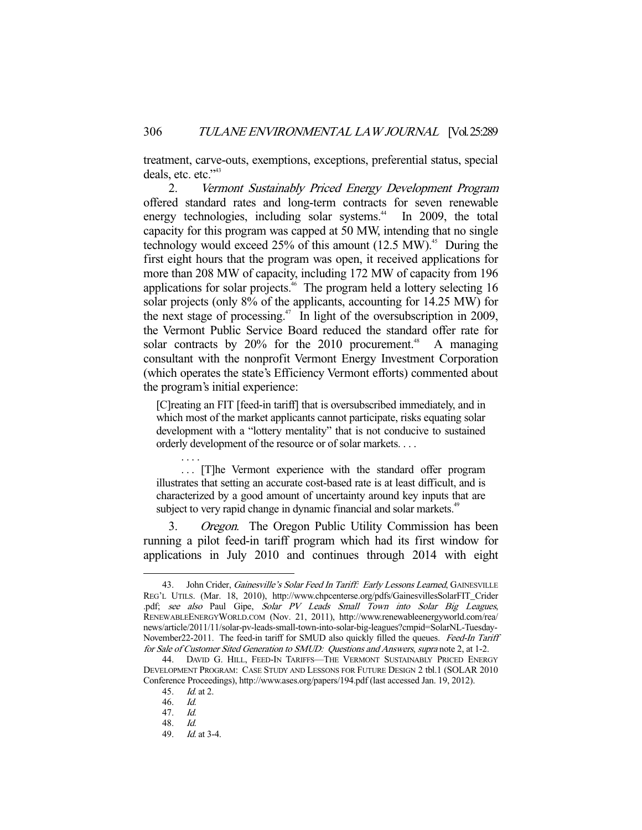treatment, carve-outs, exemptions, exceptions, preferential status, special deals, etc. etc."<sup>43</sup>

 2. Vermont Sustainably Priced Energy Development Program offered standard rates and long-term contracts for seven renewable energy technologies, including solar systems.<sup>44</sup> In 2009, the total capacity for this program was capped at 50 MW, intending that no single technology would exceed  $25\%$  of this amount (12.5 MW).<sup>45</sup> During the first eight hours that the program was open, it received applications for more than 208 MW of capacity, including 172 MW of capacity from 196 applications for solar projects.<sup>46</sup> The program held a lottery selecting 16 solar projects (only 8% of the applicants, accounting for 14.25 MW) for the next stage of processing.<sup>47</sup> In light of the oversubscription in 2009, the Vermont Public Service Board reduced the standard offer rate for solar contracts by  $20\%$  for the  $2010$  procurement.<sup>48</sup> A managing consultant with the nonprofit Vermont Energy Investment Corporation (which operates the state's Efficiency Vermont efforts) commented about the program's initial experience:

[C]reating an FIT [feed-in tariff] that is oversubscribed immediately, and in which most of the market applicants cannot participate, risks equating solar development with a "lottery mentality" that is not conducive to sustained orderly development of the resource or of solar markets. . . .

 . . . [T]he Vermont experience with the standard offer program illustrates that setting an accurate cost-based rate is at least difficult, and is characterized by a good amount of uncertainty around key inputs that are subject to very rapid change in dynamic financial and solar markets.<sup>49</sup>

3. Oregon. The Oregon Public Utility Commission has been running a pilot feed-in tariff program which had its first window for applications in July 2010 and continues through 2014 with eight

. . . .

<sup>43.</sup> John Crider, Gainesville's Solar Feed In Tariff: Early Lessons Learned, GAINESVILLE REG'L UTILS. (Mar. 18, 2010), http://www.chpcenterse.org/pdfs/GainesvillesSolarFIT\_Crider .pdf; see also Paul Gipe, Solar PV Leads Small Town into Solar Big Leagues, RENEWABLEENERGYWORLD.COM (Nov. 21, 2011), http://www.renewableenergyworld.com/rea/ news/article/2011/11/solar-pv-leads-small-town-into-solar-big-leagues?cmpid=SolarNL-Tuesday-November22-2011. The feed-in tariff for SMUD also quickly filled the queues. Feed-In Tariff for Sale of Customer Sited Generation to SMUD: Questions and Answers, supra note 2, at 1-2.

 <sup>44.</sup> DAVID G. HILL, FEED-IN TARIFFS—THE VERMONT SUSTAINABLY PRICED ENERGY DEVELOPMENT PROGRAM: CASE STUDY AND LESSONS FOR FUTURE DESIGN 2 tbl.1 (SOLAR 2010 Conference Proceedings), http://www.ases.org/papers/194.pdf (last accessed Jan. 19, 2012).

 <sup>45.</sup> Id. at 2.

 <sup>46.</sup> Id.

 <sup>47.</sup> Id.

 <sup>48.</sup> Id.

 <sup>49.</sup> Id. at 3-4.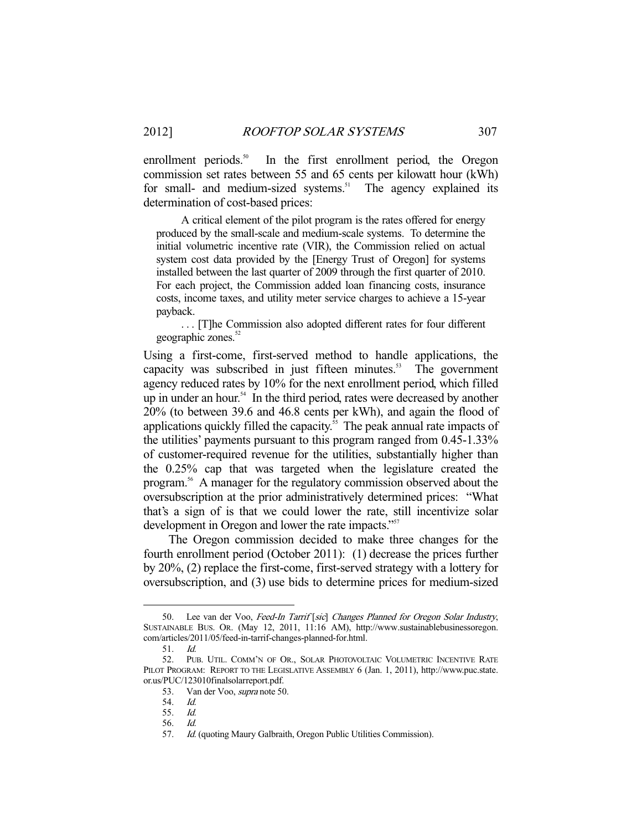enrollment periods.<sup>50</sup> In the first enrollment period, the Oregon commission set rates between 55 and 65 cents per kilowatt hour (kWh) for small- and medium-sized systems.<sup>51</sup> The agency explained its determination of cost-based prices:

 A critical element of the pilot program is the rates offered for energy produced by the small-scale and medium-scale systems. To determine the initial volumetric incentive rate (VIR), the Commission relied on actual system cost data provided by the [Energy Trust of Oregon] for systems installed between the last quarter of 2009 through the first quarter of 2010. For each project, the Commission added loan financing costs, insurance costs, income taxes, and utility meter service charges to achieve a 15-year payback.

 . . . [T]he Commission also adopted different rates for four different geographic zones.<sup>52</sup>

Using a first-come, first-served method to handle applications, the capacity was subscribed in just fifteen minutes. $53$  The government agency reduced rates by 10% for the next enrollment period, which filled up in under an hour.<sup>54</sup> In the third period, rates were decreased by another 20% (to between 39.6 and 46.8 cents per kWh), and again the flood of applications quickly filled the capacity.<sup>55</sup> The peak annual rate impacts of the utilities' payments pursuant to this program ranged from 0.45-1.33% of customer-required revenue for the utilities, substantially higher than the 0.25% cap that was targeted when the legislature created the program.56 A manager for the regulatory commission observed about the oversubscription at the prior administratively determined prices: "What that's a sign of is that we could lower the rate, still incentivize solar development in Oregon and lower the rate impacts."<sup>57</sup>

 The Oregon commission decided to make three changes for the fourth enrollment period (October 2011): (1) decrease the prices further by 20%, (2) replace the first-come, first-served strategy with a lottery for oversubscription, and (3) use bids to determine prices for medium-sized

<sup>50.</sup> Lee van der Voo, Feed-In Tarrif [sic] Changes Planned for Oregon Solar Industry, SUSTAINABLE BUS. OR. (May 12, 2011, 11:16 AM), http://www.sustainablebusinessoregon. com/articles/2011/05/feed-in-tarrif-changes-planned-for.html.

 <sup>51.</sup> Id.

 <sup>52.</sup> PUB. UTIL. COMM'N OF OR., SOLAR PHOTOVOLTAIC VOLUMETRIC INCENTIVE RATE PILOT PROGRAM: REPORT TO THE LEGISLATIVE ASSEMBLY 6 (Jan. 1, 2011), http://www.puc.state. or.us/PUC/123010finalsolarreport.pdf.

 <sup>53.</sup> Van der Voo, supra note 50.

 <sup>54.</sup> Id.

 <sup>55.</sup> Id.

 <sup>56.</sup> Id.

<sup>57.</sup> Id. (quoting Maury Galbraith, Oregon Public Utilities Commission).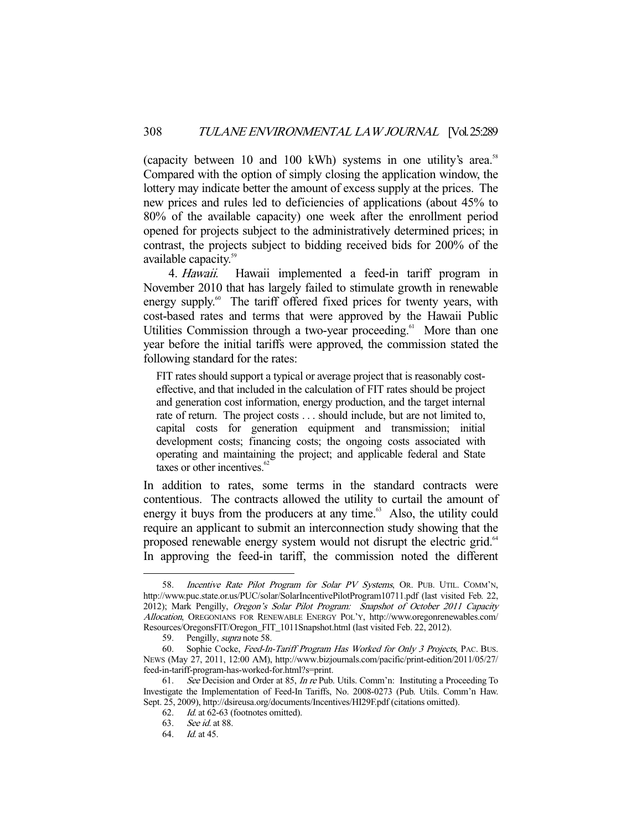(capacity between 10 and 100 kWh) systems in one utility's area.<sup>58</sup> Compared with the option of simply closing the application window, the lottery may indicate better the amount of excess supply at the prices. The new prices and rules led to deficiencies of applications (about 45% to 80% of the available capacity) one week after the enrollment period opened for projects subject to the administratively determined prices; in contrast, the projects subject to bidding received bids for 200% of the available capacity.<sup>59</sup>

 4. Hawaii. Hawaii implemented a feed-in tariff program in November 2010 that has largely failed to stimulate growth in renewable energy supply.<sup>60</sup> The tariff offered fixed prices for twenty years, with cost-based rates and terms that were approved by the Hawaii Public Utilities Commission through a two-year proceeding.<sup>61</sup> More than one year before the initial tariffs were approved, the commission stated the following standard for the rates:

FIT rates should support a typical or average project that is reasonably costeffective, and that included in the calculation of FIT rates should be project and generation cost information, energy production, and the target internal rate of return. The project costs . . . should include, but are not limited to, capital costs for generation equipment and transmission; initial development costs; financing costs; the ongoing costs associated with operating and maintaining the project; and applicable federal and State taxes or other incentives. $62$ 

In addition to rates, some terms in the standard contracts were contentious. The contracts allowed the utility to curtail the amount of energy it buys from the producers at any time. $63$  Also, the utility could require an applicant to submit an interconnection study showing that the proposed renewable energy system would not disrupt the electric grid.<sup>64</sup> In approving the feed-in tariff, the commission noted the different

<sup>58.</sup> Incentive Rate Pilot Program for Solar PV Systems, OR. PUB. UTIL. COMM'N, http://www.puc.state.or.us/PUC/solar/SolarIncentivePilotProgram10711.pdf (last visited Feb. 22, 2012); Mark Pengilly, Oregon's Solar Pilot Program: Snapshot of October 2011 Capacity Allocation, OREGONIANS FOR RENEWABLE ENERGY POL'Y, http://www.oregonrenewables.com/ Resources/OregonsFIT/Oregon\_FIT\_1011Snapshot.html (last visited Feb. 22, 2012).

<sup>59.</sup> Pengilly, *supra* note 58.

 <sup>60.</sup> Sophie Cocke, Feed-In-Tariff Program Has Worked for Only 3 Projects, PAC. BUS. NEWS (May 27, 2011, 12:00 AM), http://www.bizjournals.com/pacific/print-edition/2011/05/27/ feed-in-tariff-program-has-worked-for.html?s=print.

 <sup>61.</sup> See Decision and Order at 85, In re Pub. Utils. Comm'n: Instituting a Proceeding To Investigate the Implementation of Feed-In Tariffs, No. 2008-0273 (Pub. Utils. Comm'n Haw. Sept. 25, 2009), http://dsireusa.org/documents/Incentives/HI29F.pdf (citations omitted).

 <sup>62.</sup> Id. at 62-63 (footnotes omitted).

 <sup>63.</sup> See id. at 88.

 <sup>64.</sup> Id. at 45.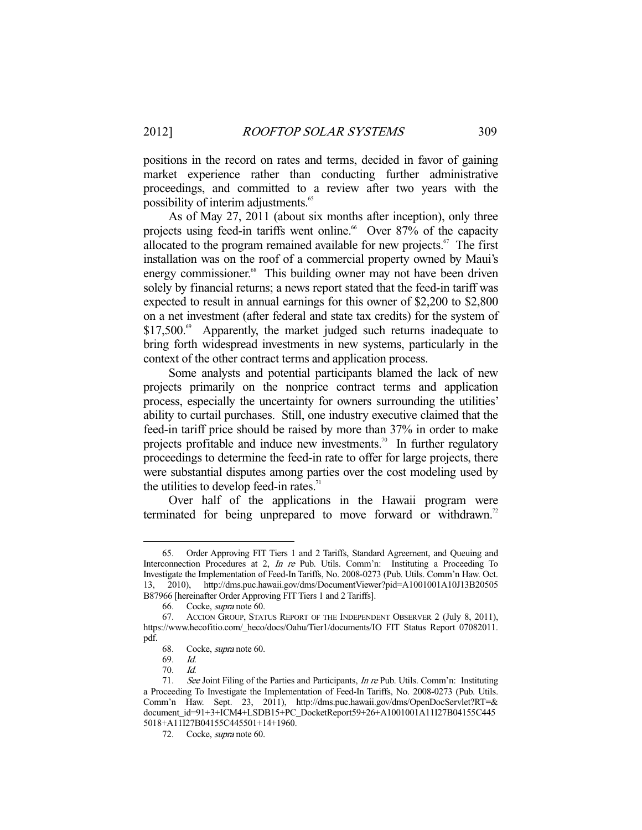positions in the record on rates and terms, decided in favor of gaining market experience rather than conducting further administrative proceedings, and committed to a review after two years with the possibility of interim adjustments.<sup>65</sup>

 As of May 27, 2011 (about six months after inception), only three projects using feed-in tariffs went online.<sup>66</sup> Over 87% of the capacity allocated to the program remained available for new projects. $\frac{67}{10}$  The first installation was on the roof of a commercial property owned by Maui's energy commissioner.<sup>68</sup> This building owner may not have been driven solely by financial returns; a news report stated that the feed-in tariff was expected to result in annual earnings for this owner of \$2,200 to \$2,800 on a net investment (after federal and state tax credits) for the system of  $$17,500<sup>69</sup>$  Apparently, the market judged such returns inadequate to bring forth widespread investments in new systems, particularly in the context of the other contract terms and application process.

 Some analysts and potential participants blamed the lack of new projects primarily on the nonprice contract terms and application process, especially the uncertainty for owners surrounding the utilities' ability to curtail purchases. Still, one industry executive claimed that the feed-in tariff price should be raised by more than 37% in order to make projects profitable and induce new investments.<sup>70</sup> In further regulatory proceedings to determine the feed-in rate to offer for large projects, there were substantial disputes among parties over the cost modeling used by the utilities to develop feed-in rates. $71$ 

 Over half of the applications in the Hawaii program were terminated for being unprepared to move forward or withdrawn.<sup>72</sup>

 <sup>65.</sup> Order Approving FIT Tiers 1 and 2 Tariffs, Standard Agreement, and Queuing and Interconnection Procedures at 2, In re Pub. Utils. Comm'n: Instituting a Proceeding To Investigate the Implementation of Feed-In Tariffs, No. 2008-0273 (Pub. Utils. Comm'n Haw. Oct. 13, 2010), http://dms.puc.hawaii.gov/dms/DocumentViewer?pid=A1001001A10J13B20505 B87966 [hereinafter Order Approving FIT Tiers 1 and 2 Tariffs].

 <sup>66.</sup> Cocke, supra note 60.

 <sup>67.</sup> ACCION GROUP, STATUS REPORT OF THE INDEPENDENT OBSERVER 2 (July 8, 2011), https://www.hecofitio.com/\_heco/docs/Oahu/Tier1/documents/IO FIT Status Report 07082011. pdf.

 <sup>68.</sup> Cocke, supra note 60.

 <sup>69.</sup> Id.

 <sup>70.</sup> Id.

<sup>71.</sup> See Joint Filing of the Parties and Participants, *In re* Pub. Utils. Comm'n: Instituting a Proceeding To Investigate the Implementation of Feed-In Tariffs, No. 2008-0273 (Pub. Utils. Comm'n Haw. Sept. 23, 2011), http://dms.puc.hawaii.gov/dms/OpenDocServlet?RT=& document\_id=91+3+ICM4+LSDB15+PC\_DocketReport59+26+A1001001A11I27B04155C445 5018+A11I27B04155C445501+14+1960.

 <sup>72.</sup> Cocke, supra note 60.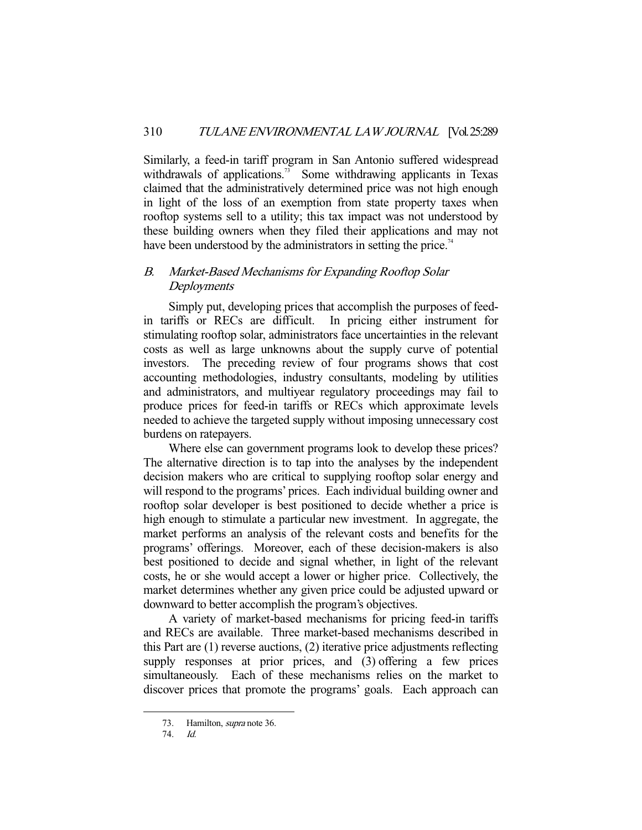Similarly, a feed-in tariff program in San Antonio suffered widespread withdrawals of applications.<sup>73</sup> Some withdrawing applicants in Texas claimed that the administratively determined price was not high enough in light of the loss of an exemption from state property taxes when rooftop systems sell to a utility; this tax impact was not understood by these building owners when they filed their applications and may not have been understood by the administrators in setting the price.<sup>74</sup>

# B. Market-Based Mechanisms for Expanding Rooftop Solar **Deployments**

 Simply put, developing prices that accomplish the purposes of feedin tariffs or RECs are difficult. In pricing either instrument for stimulating rooftop solar, administrators face uncertainties in the relevant costs as well as large unknowns about the supply curve of potential investors. The preceding review of four programs shows that cost accounting methodologies, industry consultants, modeling by utilities and administrators, and multiyear regulatory proceedings may fail to produce prices for feed-in tariffs or RECs which approximate levels needed to achieve the targeted supply without imposing unnecessary cost burdens on ratepayers.

 Where else can government programs look to develop these prices? The alternative direction is to tap into the analyses by the independent decision makers who are critical to supplying rooftop solar energy and will respond to the programs' prices. Each individual building owner and rooftop solar developer is best positioned to decide whether a price is high enough to stimulate a particular new investment. In aggregate, the market performs an analysis of the relevant costs and benefits for the programs' offerings. Moreover, each of these decision-makers is also best positioned to decide and signal whether, in light of the relevant costs, he or she would accept a lower or higher price. Collectively, the market determines whether any given price could be adjusted upward or downward to better accomplish the program's objectives.

 A variety of market-based mechanisms for pricing feed-in tariffs and RECs are available. Three market-based mechanisms described in this Part are (1) reverse auctions, (2) iterative price adjustments reflecting supply responses at prior prices, and (3) offering a few prices simultaneously. Each of these mechanisms relies on the market to discover prices that promote the programs' goals. Each approach can

 <sup>73.</sup> Hamilton, supra note 36.

 <sup>74.</sup> Id.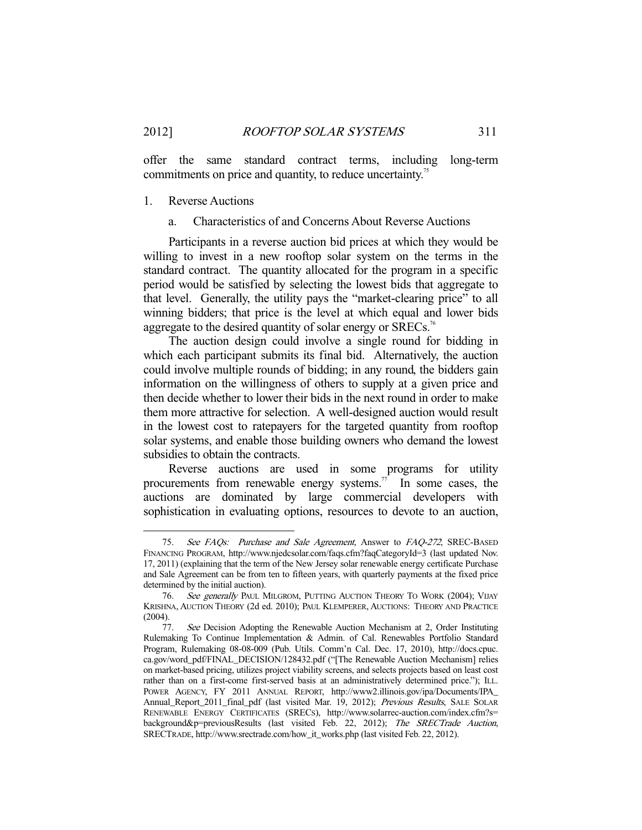offer the same standard contract terms, including long-term commitments on price and quantity, to reduce uncertainty.<sup>75</sup>

## 1. Reverse Auctions

## a. Characteristics of and Concerns About Reverse Auctions

 Participants in a reverse auction bid prices at which they would be willing to invest in a new rooftop solar system on the terms in the standard contract. The quantity allocated for the program in a specific period would be satisfied by selecting the lowest bids that aggregate to that level. Generally, the utility pays the "market-clearing price" to all winning bidders; that price is the level at which equal and lower bids aggregate to the desired quantity of solar energy or SRECs.<sup>76</sup>

 The auction design could involve a single round for bidding in which each participant submits its final bid. Alternatively, the auction could involve multiple rounds of bidding; in any round, the bidders gain information on the willingness of others to supply at a given price and then decide whether to lower their bids in the next round in order to make them more attractive for selection. A well-designed auction would result in the lowest cost to ratepayers for the targeted quantity from rooftop solar systems, and enable those building owners who demand the lowest subsidies to obtain the contracts.

 Reverse auctions are used in some programs for utility procurements from renewable energy systems.<sup>77</sup> In some cases, the auctions are dominated by large commercial developers with sophistication in evaluating options, resources to devote to an auction,

 <sup>75.</sup> See FAQs: Purchase and Sale Agreement, Answer to FAQ-272, SREC-BASED FINANCING PROGRAM, http://www.njedcsolar.com/faqs.cfm?faqCategoryId=3 (last updated Nov. 17, 2011) (explaining that the term of the New Jersey solar renewable energy certificate Purchase and Sale Agreement can be from ten to fifteen years, with quarterly payments at the fixed price determined by the initial auction).

<sup>76.</sup> See generally PAUL MILGROM, PUTTING AUCTION THEORY TO WORK (2004); VIJAY KRISHNA, AUCTION THEORY (2d ed. 2010); PAUL KLEMPERER, AUCTIONS: THEORY AND PRACTICE (2004).

<sup>77.</sup> See Decision Adopting the Renewable Auction Mechanism at 2, Order Instituting Rulemaking To Continue Implementation & Admin. of Cal. Renewables Portfolio Standard Program, Rulemaking 08-08-009 (Pub. Utils. Comm'n Cal. Dec. 17, 2010), http://docs.cpuc. ca.gov/word\_pdf/FINAL\_DECISION/128432.pdf ("[The Renewable Auction Mechanism] relies on market-based pricing, utilizes project viability screens, and selects projects based on least cost rather than on a first-come first-served basis at an administratively determined price."); ILL. POWER AGENCY, FY 2011 ANNUAL REPORT, http://www2.illinois.gov/ipa/Documents/IPA\_ Annual\_Report\_2011\_final\_pdf (last visited Mar. 19, 2012); Previous Results, SALE SOLAR RENEWABLE ENERGY CERTIFICATES (SRECS), http://www.solarrec-auction.com/index.cfm?s= background&p=previousResults (last visited Feb. 22, 2012); The SRECTrade Auction, SRECTRADE, http://www.srectrade.com/how\_it\_works.php (last visited Feb. 22, 2012).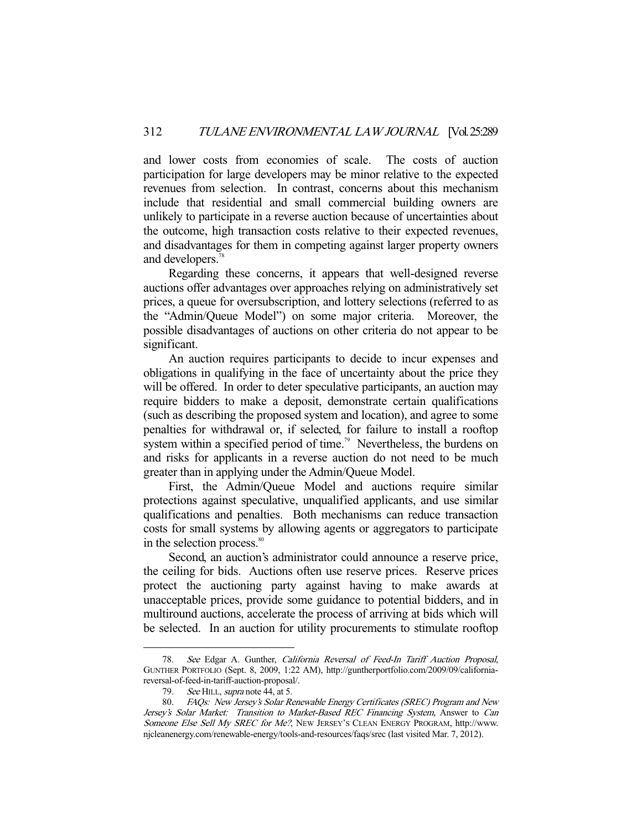and lower costs from economies of scale. The costs of auction participation for large developers may be minor relative to the expected revenues from selection. In contrast, concerns about this mechanism include that residential and small commercial building owners are unlikely to participate in a reverse auction because of uncertainties about the outcome, high transaction costs relative to their expected revenues, and disadvantages for them in competing against larger property owners and developers.<sup>78</sup>

 Regarding these concerns, it appears that well-designed reverse auctions offer advantages over approaches relying on administratively set prices, a queue for oversubscription, and lottery selections (referred to as the "Admin/Queue Model") on some major criteria. Moreover, the possible disadvantages of auctions on other criteria do not appear to be significant.

 An auction requires participants to decide to incur expenses and obligations in qualifying in the face of uncertainty about the price they will be offered. In order to deter speculative participants, an auction may require bidders to make a deposit, demonstrate certain qualifications (such as describing the proposed system and location), and agree to some penalties for withdrawal or, if selected, for failure to install a rooftop system within a specified period of time.<sup>79</sup> Nevertheless, the burdens on and risks for applicants in a reverse auction do not need to be much greater than in applying under the Admin/Queue Model.

 First, the Admin/Queue Model and auctions require similar protections against speculative, unqualified applicants, and use similar qualifications and penalties. Both mechanisms can reduce transaction costs for small systems by allowing agents or aggregators to participate in the selection process.<sup>80</sup>

 Second, an auction's administrator could announce a reserve price, the ceiling for bids. Auctions often use reserve prices. Reserve prices protect the auctioning party against having to make awards at unacceptable prices, provide some guidance to potential bidders, and in multiround auctions, accelerate the process of arriving at bids which will be selected. In an auction for utility procurements to stimulate rooftop

 <sup>78.</sup> See Edgar A. Gunther, California Reversal of Feed-In Tariff Auction Proposal, GUNTHER PORTFOLIO (Sept. 8, 2009, 1:22 AM), http://guntherportfolio.com/2009/09/californiareversal-of-feed-in-tariff-auction-proposal/.

<sup>79.</sup> See HILL, *supra* note 44, at 5.

 <sup>80.</sup> FAQs: New Jersey's Solar Renewable Energy Certificates (SREC) Program and New Jersey's Solar Market: Transition to Market-Based REC Financing System, Answer to Can Someone Else Sell My SREC for Me?, NEW JERSEY'S CLEAN ENERGY PROGRAM, http://www. njcleanenergy.com/renewable-energy/tools-and-resources/faqs/srec (last visited Mar. 7, 2012).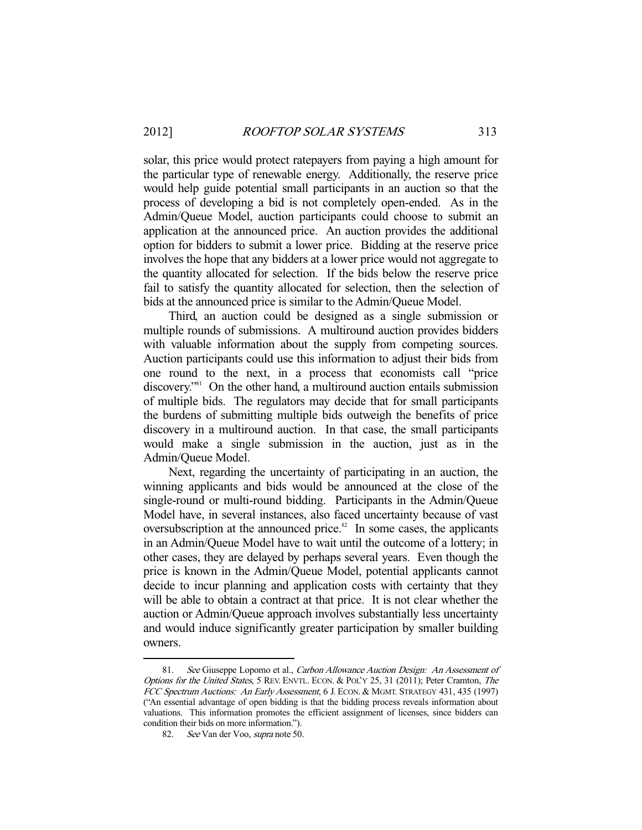solar, this price would protect ratepayers from paying a high amount for the particular type of renewable energy. Additionally, the reserve price would help guide potential small participants in an auction so that the process of developing a bid is not completely open-ended. As in the Admin/Queue Model, auction participants could choose to submit an application at the announced price. An auction provides the additional option for bidders to submit a lower price. Bidding at the reserve price involves the hope that any bidders at a lower price would not aggregate to the quantity allocated for selection. If the bids below the reserve price fail to satisfy the quantity allocated for selection, then the selection of bids at the announced price is similar to the Admin/Queue Model.

 Third, an auction could be designed as a single submission or multiple rounds of submissions. A multiround auction provides bidders with valuable information about the supply from competing sources. Auction participants could use this information to adjust their bids from one round to the next, in a process that economists call "price discovery.<sup>"81</sup> On the other hand, a multiround auction entails submission of multiple bids. The regulators may decide that for small participants the burdens of submitting multiple bids outweigh the benefits of price discovery in a multiround auction. In that case, the small participants would make a single submission in the auction, just as in the Admin/Queue Model.

 Next, regarding the uncertainty of participating in an auction, the winning applicants and bids would be announced at the close of the single-round or multi-round bidding. Participants in the Admin/Queue Model have, in several instances, also faced uncertainty because of vast oversubscription at the announced price. $82$  In some cases, the applicants in an Admin/Queue Model have to wait until the outcome of a lottery; in other cases, they are delayed by perhaps several years. Even though the price is known in the Admin/Queue Model, potential applicants cannot decide to incur planning and application costs with certainty that they will be able to obtain a contract at that price. It is not clear whether the auction or Admin/Queue approach involves substantially less uncertainty and would induce significantly greater participation by smaller building owners.

<sup>81.</sup> See Giuseppe Lopomo et al., Carbon Allowance Auction Design: An Assessment of Options for the United States, 5 REV. ENVTL. ECON. & POL'Y 25, 31 (2011); Peter Cramton, The FCC Spectrum Auctions: An Early Assessment, 6 J. ECON. & MGMT. STRATEGY 431, 435 (1997) ("An essential advantage of open bidding is that the bidding process reveals information about valuations. This information promotes the efficient assignment of licenses, since bidders can condition their bids on more information.").

 <sup>82.</sup> See Van der Voo, supra note 50.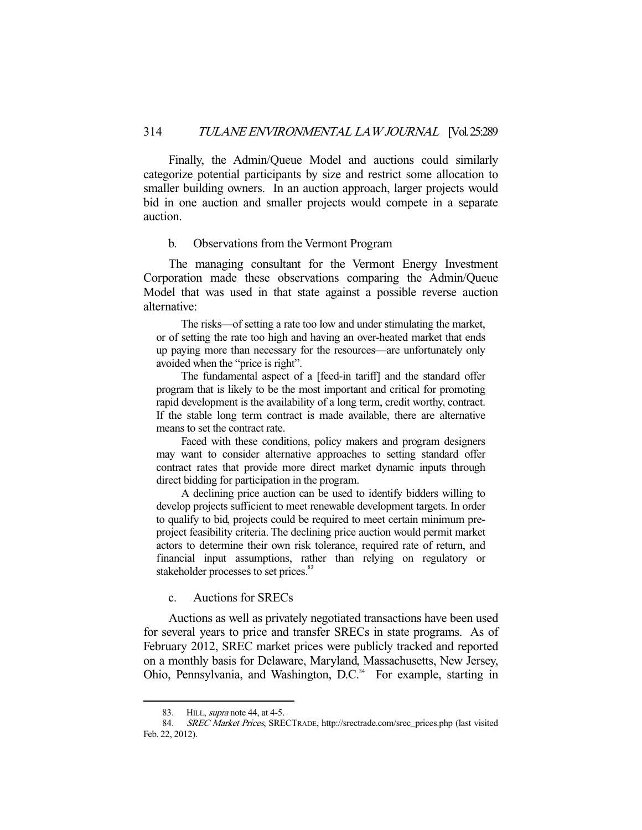Finally, the Admin/Queue Model and auctions could similarly categorize potential participants by size and restrict some allocation to smaller building owners. In an auction approach, larger projects would bid in one auction and smaller projects would compete in a separate auction.

#### b. Observations from the Vermont Program

 The managing consultant for the Vermont Energy Investment Corporation made these observations comparing the Admin/Queue Model that was used in that state against a possible reverse auction alternative:

 The risks—of setting a rate too low and under stimulating the market, or of setting the rate too high and having an over-heated market that ends up paying more than necessary for the resources—are unfortunately only avoided when the "price is right".

 The fundamental aspect of a [feed-in tariff] and the standard offer program that is likely to be the most important and critical for promoting rapid development is the availability of a long term, credit worthy, contract. If the stable long term contract is made available, there are alternative means to set the contract rate.

 Faced with these conditions, policy makers and program designers may want to consider alternative approaches to setting standard offer contract rates that provide more direct market dynamic inputs through direct bidding for participation in the program.

 A declining price auction can be used to identify bidders willing to develop projects sufficient to meet renewable development targets. In order to qualify to bid, projects could be required to meet certain minimum preproject feasibility criteria. The declining price auction would permit market actors to determine their own risk tolerance, required rate of return, and financial input assumptions, rather than relying on regulatory or stakeholder processes to set prices.<sup>83</sup>

## c. Auctions for SRECs

 Auctions as well as privately negotiated transactions have been used for several years to price and transfer SRECs in state programs. As of February 2012, SREC market prices were publicly tracked and reported on a monthly basis for Delaware, Maryland, Massachusetts, New Jersey, Ohio, Pennsylvania, and Washington, D.C.<sup>84</sup> For example, starting in

<sup>83.</sup> HILL, *supra* note 44, at 4-5.

 <sup>84.</sup> SREC Market Prices, SRECTRADE, http://srectrade.com/srec\_prices.php (last visited Feb. 22, 2012).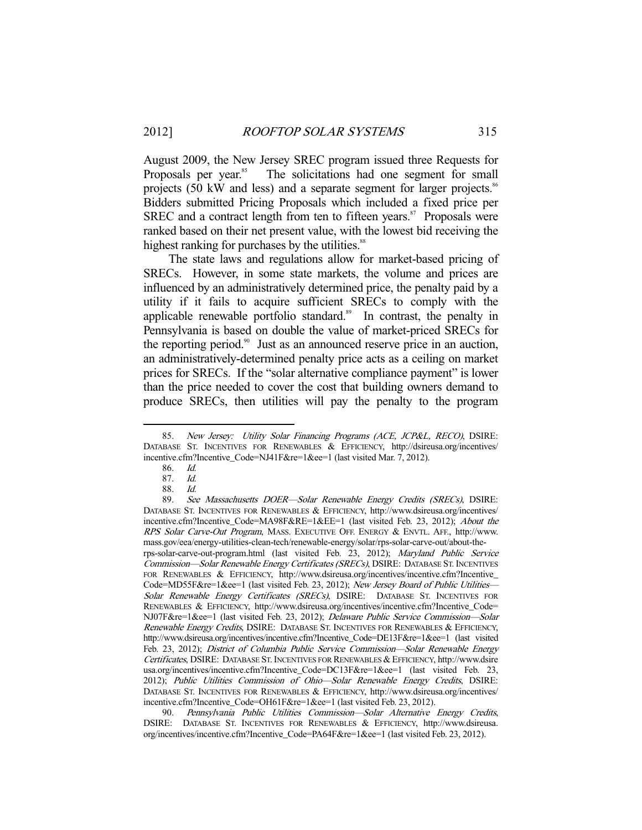August 2009, the New Jersey SREC program issued three Requests for Proposals per year.<sup>85</sup> The solicitations had one segment for small projects (50 kW and less) and a separate segment for larger projects.<sup>86</sup> Bidders submitted Pricing Proposals which included a fixed price per SREC and a contract length from ten to fifteen years. $87$  Proposals were ranked based on their net present value, with the lowest bid receiving the highest ranking for purchases by the utilities.<sup>88</sup>

 The state laws and regulations allow for market-based pricing of SRECs. However, in some state markets, the volume and prices are influenced by an administratively determined price, the penalty paid by a utility if it fails to acquire sufficient SRECs to comply with the applicable renewable portfolio standard.<sup>89</sup> In contrast, the penalty in Pennsylvania is based on double the value of market-priced SRECs for the reporting period.<sup>90</sup> Just as an announced reserve price in an auction, an administratively-determined penalty price acts as a ceiling on market prices for SRECs. If the "solar alternative compliance payment" is lower than the price needed to cover the cost that building owners demand to produce SRECs, then utilities will pay the penalty to the program

<sup>85.</sup> New Jersey: Utility Solar Financing Programs (ACE, JCP&L, RECO), DSIRE: DATABASE ST. INCENTIVES FOR RENEWABLES & EFFICIENCY, http://dsireusa.org/incentives/ incentive.cfm?Incentive\_Code=NJ41F&re=1&ee=1 (last visited Mar. 7, 2012).

 <sup>86.</sup> Id.

 <sup>87.</sup> Id.

<sup>88.</sup> *Id.*<br>89. *Se* 

See Massachusetts DOER-Solar Renewable Energy Credits (SRECs), DSIRE: DATABASE ST. INCENTIVES FOR RENEWABLES & EFFICIENCY, http://www.dsireusa.org/incentives/ incentive.cfm?Incentive\_Code=MA98F&RE=1&EE=1 (last visited Feb. 23, 2012); About the RPS Solar Carve-Out Program, MASS. EXECUTIVE OFF. ENERGY & ENVTL. AFF., http://www. mass.gov/eea/energy-utilities-clean-tech/renewable-energy/solar/rps-solar-carve-out/about-therps-solar-carve-out-program.html (last visited Feb. 23, 2012); Maryland Public Service Commission-Solar Renewable Energy Certificates (SRECs), DSIRE: DATABASE ST. INCENTIVES FOR RENEWABLES & EFFICIENCY, http://www.dsireusa.org/incentives/incentive.cfm?Incentive\_ Code=MD55F&re=1&ee=1 (last visited Feb. 23, 2012); New Jersey Board of Public Utilities-Solar Renewable Energy Certificates (SRECs), DSIRE: DATABASE ST. INCENTIVES FOR RENEWABLES & EFFICIENCY, http://www.dsireusa.org/incentives/incentive.cfm?Incentive\_Code= NJ07F&re=1&ee=1 (last visited Feb. 23, 2012); Delaware Public Service Commission—Solar Renewable Energy Credits, DSIRE: DATABASE ST. INCENTIVES FOR RENEWABLES & EFFICIENCY, http://www.dsireusa.org/incentives/incentive.cfm?Incentive\_Code=DE13F&re=1&ee=1 (last visited Feb. 23, 2012); District of Columbia Public Service Commission—Solar Renewable Energy Certificates, DSIRE: DATABASE ST. INCENTIVES FOR RENEWABLES & EFFICIENCY, http://www.dsire usa.org/incentives/incentive.cfm?Incentive\_Code=DC13F&re=1&ee=1 (last visited Feb. 23, 2012); Public Utilities Commission of Ohio—Solar Renewable Energy Credits, DSIRE: DATABASE ST. INCENTIVES FOR RENEWABLES & EFFICIENCY, http://www.dsireusa.org/incentives/ incentive.cfm?Incentive\_Code=OH61F&re=1&ee=1 (last visited Feb. 23, 2012).

 <sup>90.</sup> Pennsylvania Public Utilities Commission—Solar Alternative Energy Credits, DSIRE: DATABASE ST. INCENTIVES FOR RENEWABLES & EFFICIENCY, http://www.dsireusa. org/incentives/incentive.cfm?Incentive\_Code=PA64F&re=1&ee=1 (last visited Feb. 23, 2012).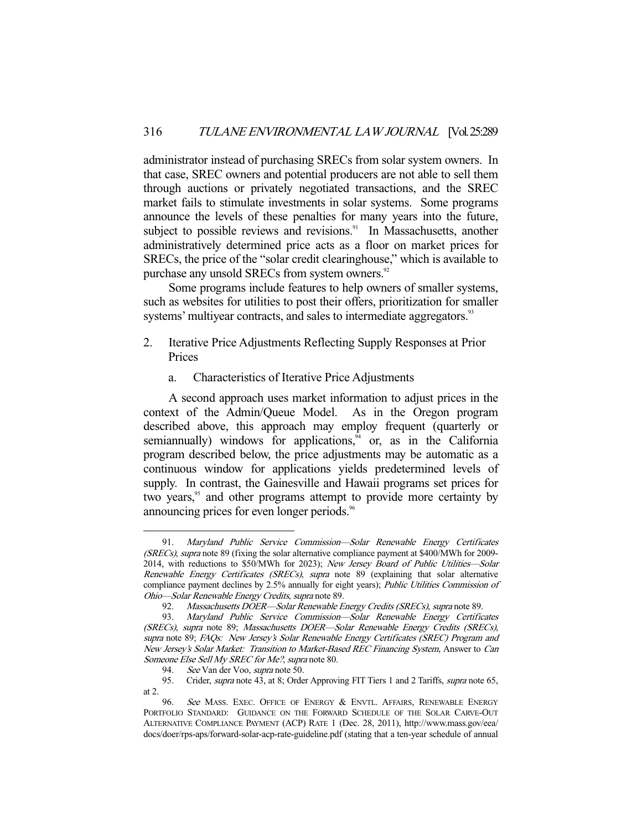administrator instead of purchasing SRECs from solar system owners. In that case, SREC owners and potential producers are not able to sell them through auctions or privately negotiated transactions, and the SREC market fails to stimulate investments in solar systems. Some programs announce the levels of these penalties for many years into the future, subject to possible reviews and revisions.<sup>91</sup> In Massachusetts, another administratively determined price acts as a floor on market prices for SRECs, the price of the "solar credit clearinghouse," which is available to purchase any unsold SRECs from system owners.<sup>92</sup>

 Some programs include features to help owners of smaller systems, such as websites for utilities to post their offers, prioritization for smaller systems' multiyear contracts, and sales to intermediate aggregators.<sup>93</sup>

- 2. Iterative Price Adjustments Reflecting Supply Responses at Prior Prices
	- a. Characteristics of Iterative Price Adjustments

 A second approach uses market information to adjust prices in the context of the Admin/Queue Model. As in the Oregon program described above, this approach may employ frequent (quarterly or semiannually) windows for applications, $4$  or, as in the California program described below, the price adjustments may be automatic as a continuous window for applications yields predetermined levels of supply. In contrast, the Gainesville and Hawaii programs set prices for two years,<sup>95</sup> and other programs attempt to provide more certainty by announcing prices for even longer periods.<sup>96</sup>

 <sup>91.</sup> Maryland Public Service Commission—Solar Renewable Energy Certificates (SRECs), supra note 89 (fixing the solar alternative compliance payment at \$400/MWh for 2009-2014, with reductions to \$50/MWh for 2023); New Jersey Board of Public Utilities—Solar Renewable Energy Certificates (SRECs), supra note 89 (explaining that solar alternative compliance payment declines by 2.5% annually for eight years); Public Utilities Commission of Ohio—Solar Renewable Energy Credits, supra note 89.

<sup>92.</sup> Massachusetts DOER—Solar Renewable Energy Credits (SRECs), supra note 89.

 <sup>93.</sup> Maryland Public Service Commission—Solar Renewable Energy Certificates (SRECs), supra note 89; Massachusetts DOER—Solar Renewable Energy Credits (SRECs), supra note 89; FAQs: New Jersey's Solar Renewable Energy Certificates (SREC) Program and New Jersey's Solar Market: Transition to Market-Based REC Financing System, Answer to Can Someone Else Sell My SREC for Me?, supra note 80.

 <sup>94.</sup> See Van der Voo, supra note 50.

<sup>95.</sup> Crider, *supra* note 43, at 8; Order Approving FIT Tiers 1 and 2 Tariffs, *supra* note 65, at 2.

<sup>96.</sup> See MASS. EXEC. OFFICE OF ENERGY & ENVTL. AFFAIRS, RENEWABLE ENERGY PORTFOLIO STANDARD: GUIDANCE ON THE FORWARD SCHEDULE OF THE SOLAR CARVE-OUT ALTERNATIVE COMPLIANCE PAYMENT (ACP) RATE 1 (Dec. 28, 2011), http://www.mass.gov/eea/ docs/doer/rps-aps/forward-solar-acp-rate-guideline.pdf (stating that a ten-year schedule of annual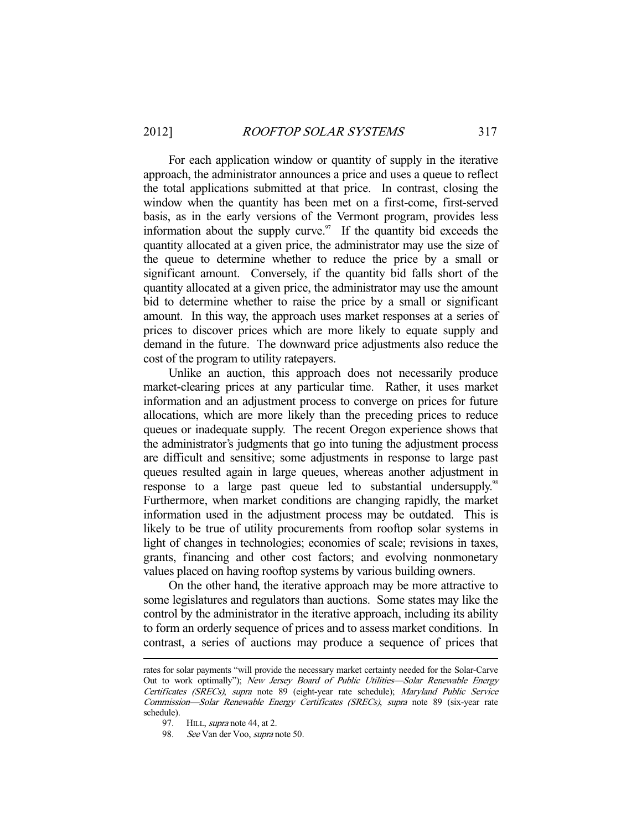For each application window or quantity of supply in the iterative approach, the administrator announces a price and uses a queue to reflect the total applications submitted at that price. In contrast, closing the window when the quantity has been met on a first-come, first-served basis, as in the early versions of the Vermont program, provides less information about the supply curve. $\frac{97}{15}$  If the quantity bid exceeds the quantity allocated at a given price, the administrator may use the size of the queue to determine whether to reduce the price by a small or significant amount. Conversely, if the quantity bid falls short of the quantity allocated at a given price, the administrator may use the amount bid to determine whether to raise the price by a small or significant amount. In this way, the approach uses market responses at a series of prices to discover prices which are more likely to equate supply and demand in the future. The downward price adjustments also reduce the cost of the program to utility ratepayers.

 Unlike an auction, this approach does not necessarily produce market-clearing prices at any particular time. Rather, it uses market information and an adjustment process to converge on prices for future allocations, which are more likely than the preceding prices to reduce queues or inadequate supply. The recent Oregon experience shows that the administrator's judgments that go into tuning the adjustment process are difficult and sensitive; some adjustments in response to large past queues resulted again in large queues, whereas another adjustment in response to a large past queue led to substantial undersupply.<sup>98</sup> Furthermore, when market conditions are changing rapidly, the market information used in the adjustment process may be outdated. This is likely to be true of utility procurements from rooftop solar systems in light of changes in technologies; economies of scale; revisions in taxes, grants, financing and other cost factors; and evolving nonmonetary values placed on having rooftop systems by various building owners.

 On the other hand, the iterative approach may be more attractive to some legislatures and regulators than auctions. Some states may like the control by the administrator in the iterative approach, including its ability to form an orderly sequence of prices and to assess market conditions. In contrast, a series of auctions may produce a sequence of prices that

rates for solar payments "will provide the necessary market certainty needed for the Solar-Carve Out to work optimally"); New Jersey Board of Public Utilities-Solar Renewable Energy Certificates (SRECs), supra note 89 (eight-year rate schedule); Maryland Public Service Commission—Solar Renewable Energy Certificates (SRECs), supra note 89 (six-year rate schedule).

<sup>97.</sup> HILL, *supra* note 44, at 2.

 <sup>98.</sup> See Van der Voo, supra note 50.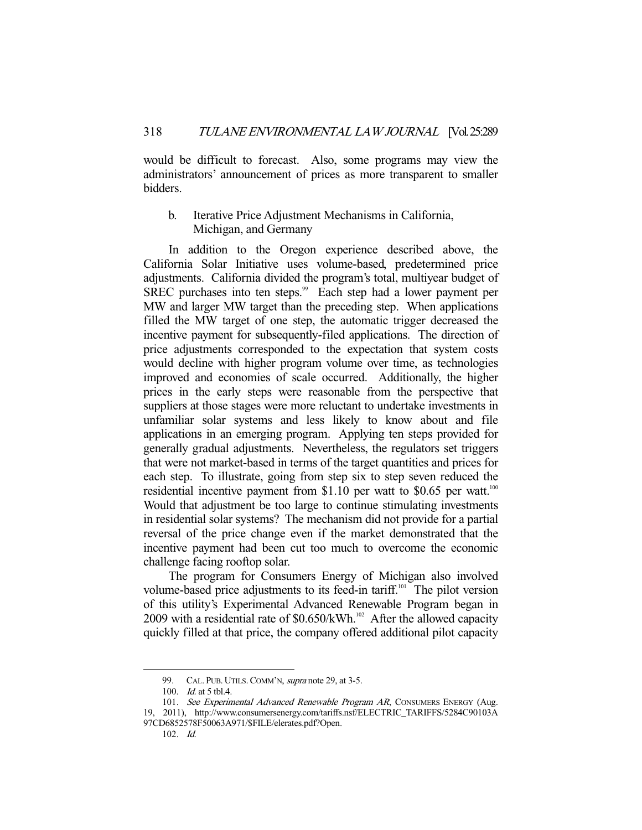would be difficult to forecast. Also, some programs may view the administrators' announcement of prices as more transparent to smaller bidders.

b. Iterative Price Adjustment Mechanisms in California, Michigan, and Germany

 In addition to the Oregon experience described above, the California Solar Initiative uses volume-based, predetermined price adjustments. California divided the program's total, multiyear budget of SREC purchases into ten steps.<sup>99</sup> Each step had a lower payment per MW and larger MW target than the preceding step. When applications filled the MW target of one step, the automatic trigger decreased the incentive payment for subsequently-filed applications. The direction of price adjustments corresponded to the expectation that system costs would decline with higher program volume over time, as technologies improved and economies of scale occurred. Additionally, the higher prices in the early steps were reasonable from the perspective that suppliers at those stages were more reluctant to undertake investments in unfamiliar solar systems and less likely to know about and file applications in an emerging program. Applying ten steps provided for generally gradual adjustments. Nevertheless, the regulators set triggers that were not market-based in terms of the target quantities and prices for each step. To illustrate, going from step six to step seven reduced the residential incentive payment from \$1.10 per watt to \$0.65 per watt.<sup>100</sup> Would that adjustment be too large to continue stimulating investments in residential solar systems? The mechanism did not provide for a partial reversal of the price change even if the market demonstrated that the incentive payment had been cut too much to overcome the economic challenge facing rooftop solar.

 The program for Consumers Energy of Michigan also involved volume-based price adjustments to its feed-in tariff.<sup>101</sup> The pilot version of this utility's Experimental Advanced Renewable Program began in 2009 with a residential rate of  $$0.650/kWh$ .<sup>102</sup> After the allowed capacity quickly filled at that price, the company offered additional pilot capacity

<sup>99.</sup> CAL. PUB. UTILS. COMM'N, *supra* note 29, at 3-5.

 <sup>100.</sup> Id. at 5 tbl.4.

<sup>101.</sup> See Experimental Advanced Renewable Program AR, CONSUMERS ENERGY (Aug. 19, 2011), http://www.consumersenergy.com/tariffs.nsf/ELECTRIC\_TARIFFS/5284C90103A 97CD6852578F50063A971/\$FILE/elerates.pdf?Open.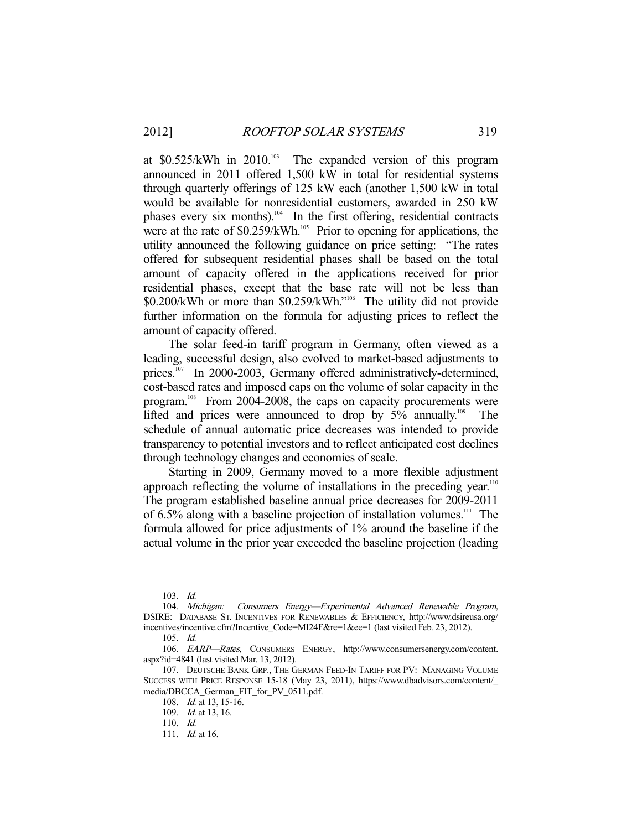at  $$0.525/kWh$  in  $2010.^{103}$  The expanded version of this program announced in 2011 offered 1,500 kW in total for residential systems through quarterly offerings of 125 kW each (another 1,500 kW in total would be available for nonresidential customers, awarded in 250 kW phases every six months).<sup>104</sup> In the first offering, residential contracts were at the rate of  $$0.259/kWh$ <sup>105</sup> Prior to opening for applications, the utility announced the following guidance on price setting: "The rates offered for subsequent residential phases shall be based on the total amount of capacity offered in the applications received for prior residential phases, except that the base rate will not be less than \$0.200/kWh or more than \$0.259/kWh."106 The utility did not provide further information on the formula for adjusting prices to reflect the amount of capacity offered.

 The solar feed-in tariff program in Germany, often viewed as a leading, successful design, also evolved to market-based adjustments to prices.<sup>107</sup> In 2000-2003, Germany offered administratively-determined, cost-based rates and imposed caps on the volume of solar capacity in the program.108 From 2004-2008, the caps on capacity procurements were lifted and prices were announced to drop by  $5\%$  annually.<sup>109</sup> The schedule of annual automatic price decreases was intended to provide transparency to potential investors and to reflect anticipated cost declines through technology changes and economies of scale.

 Starting in 2009, Germany moved to a more flexible adjustment approach reflecting the volume of installations in the preceding year.<sup>110</sup> The program established baseline annual price decreases for 2009-2011 of  $6.5\%$  along with a baseline projection of installation volumes.<sup>111</sup> The formula allowed for price adjustments of 1% around the baseline if the actual volume in the prior year exceeded the baseline projection (leading

 <sup>103.</sup> Id.

 <sup>104.</sup> Michigan: Consumers Energy—Experimental Advanced Renewable Program, DSIRE: DATABASE ST. INCENTIVES FOR RENEWABLES & EFFICIENCY, http://www.dsireusa.org/ incentives/incentive.cfm?Incentive\_Code=MI24F&re=1&ee=1 (last visited Feb. 23, 2012).

 <sup>105.</sup> Id.

 <sup>106.</sup> EARP—Rates, CONSUMERS ENERGY, http://www.consumersenergy.com/content. aspx?id=4841 (last visited Mar. 13, 2012).

 <sup>107.</sup> DEUTSCHE BANK GRP., THE GERMAN FEED-IN TARIFF FOR PV: MANAGING VOLUME SUCCESS WITH PRICE RESPONSE 15-18 (May 23, 2011), https://www.dbadvisors.com/content/\_ media/DBCCA\_German\_FIT\_for\_PV\_0511.pdf.

<sup>108.</sup> *Id.* at 13, 15-16.

 <sup>109.</sup> Id. at 13, 16.

 <sup>110.</sup> Id.

<sup>111.</sup> *Id.* at 16.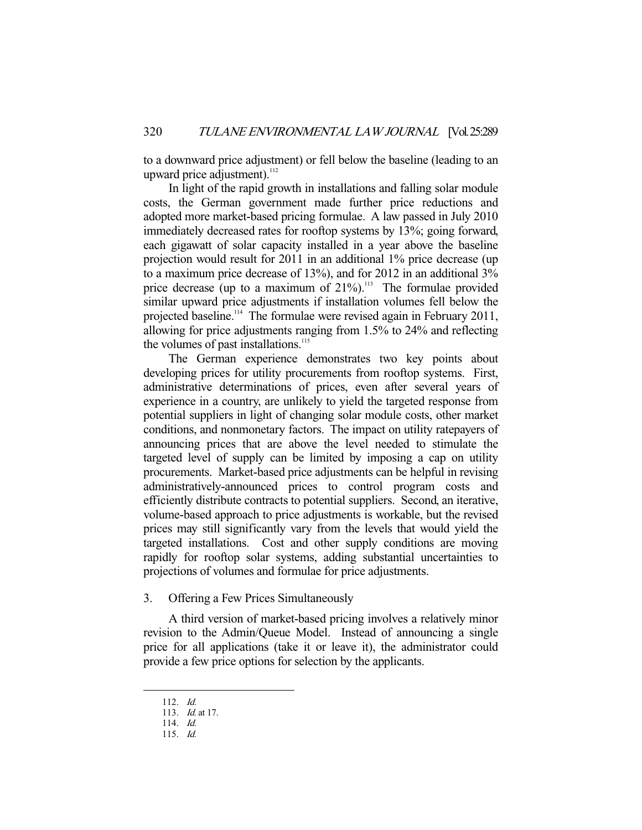to a downward price adjustment) or fell below the baseline (leading to an upward price adjustment).<sup>112</sup>

 In light of the rapid growth in installations and falling solar module costs, the German government made further price reductions and adopted more market-based pricing formulae. A law passed in July 2010 immediately decreased rates for rooftop systems by 13%; going forward, each gigawatt of solar capacity installed in a year above the baseline projection would result for 2011 in an additional 1% price decrease (up to a maximum price decrease of 13%), and for 2012 in an additional 3% price decrease (up to a maximum of  $21\%$ ).<sup>113</sup> The formulae provided similar upward price adjustments if installation volumes fell below the projected baseline.<sup>114</sup> The formulae were revised again in February 2011, allowing for price adjustments ranging from 1.5% to 24% and reflecting the volumes of past installations. $115$ 

 The German experience demonstrates two key points about developing prices for utility procurements from rooftop systems. First, administrative determinations of prices, even after several years of experience in a country, are unlikely to yield the targeted response from potential suppliers in light of changing solar module costs, other market conditions, and nonmonetary factors. The impact on utility ratepayers of announcing prices that are above the level needed to stimulate the targeted level of supply can be limited by imposing a cap on utility procurements. Market-based price adjustments can be helpful in revising administratively-announced prices to control program costs and efficiently distribute contracts to potential suppliers. Second, an iterative, volume-based approach to price adjustments is workable, but the revised prices may still significantly vary from the levels that would yield the targeted installations. Cost and other supply conditions are moving rapidly for rooftop solar systems, adding substantial uncertainties to projections of volumes and formulae for price adjustments.

## 3. Offering a Few Prices Simultaneously

 A third version of market-based pricing involves a relatively minor revision to the Admin/Queue Model. Instead of announcing a single price for all applications (take it or leave it), the administrator could provide a few price options for selection by the applicants.

 <sup>112.</sup> Id.

 <sup>113.</sup> Id. at 17.

 <sup>114.</sup> Id.

 <sup>115.</sup> Id.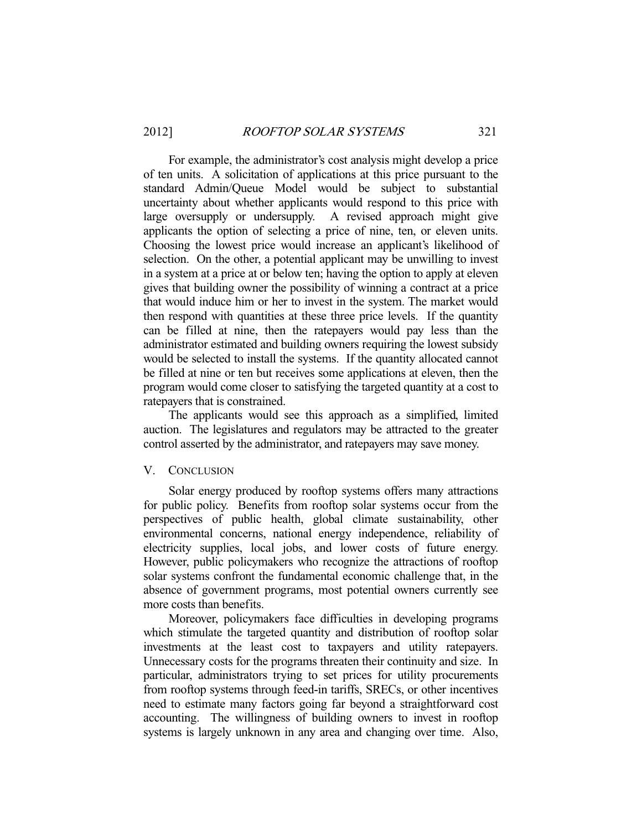For example, the administrator's cost analysis might develop a price of ten units. A solicitation of applications at this price pursuant to the standard Admin/Queue Model would be subject to substantial uncertainty about whether applicants would respond to this price with large oversupply or undersupply. A revised approach might give applicants the option of selecting a price of nine, ten, or eleven units. Choosing the lowest price would increase an applicant's likelihood of selection. On the other, a potential applicant may be unwilling to invest in a system at a price at or below ten; having the option to apply at eleven gives that building owner the possibility of winning a contract at a price that would induce him or her to invest in the system. The market would then respond with quantities at these three price levels. If the quantity can be filled at nine, then the ratepayers would pay less than the administrator estimated and building owners requiring the lowest subsidy would be selected to install the systems. If the quantity allocated cannot be filled at nine or ten but receives some applications at eleven, then the program would come closer to satisfying the targeted quantity at a cost to ratepayers that is constrained.

 The applicants would see this approach as a simplified, limited auction. The legislatures and regulators may be attracted to the greater control asserted by the administrator, and ratepayers may save money.

#### V. CONCLUSION

 Solar energy produced by rooftop systems offers many attractions for public policy. Benefits from rooftop solar systems occur from the perspectives of public health, global climate sustainability, other environmental concerns, national energy independence, reliability of electricity supplies, local jobs, and lower costs of future energy. However, public policymakers who recognize the attractions of rooftop solar systems confront the fundamental economic challenge that, in the absence of government programs, most potential owners currently see more costs than benefits.

 Moreover, policymakers face difficulties in developing programs which stimulate the targeted quantity and distribution of rooftop solar investments at the least cost to taxpayers and utility ratepayers. Unnecessary costs for the programs threaten their continuity and size. In particular, administrators trying to set prices for utility procurements from rooftop systems through feed-in tariffs, SRECs, or other incentives need to estimate many factors going far beyond a straightforward cost accounting. The willingness of building owners to invest in rooftop systems is largely unknown in any area and changing over time. Also,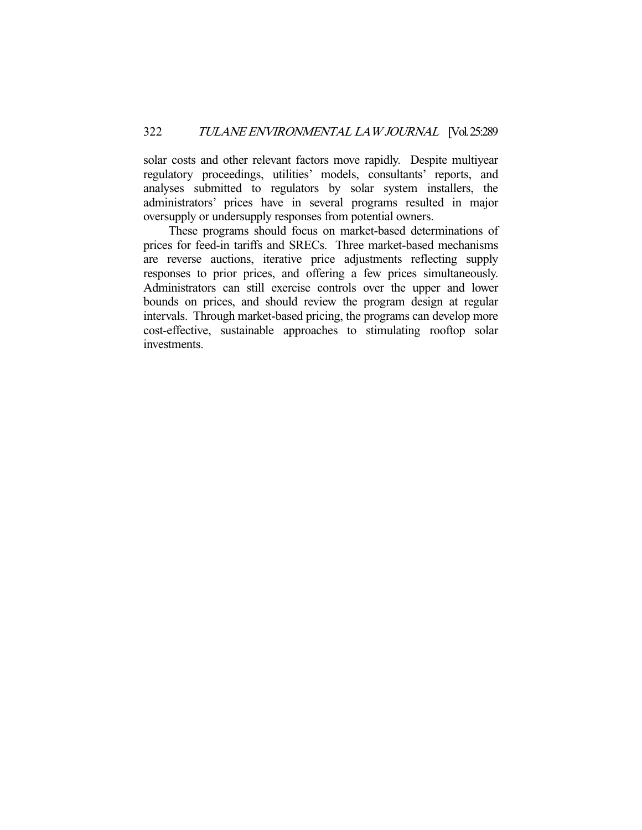solar costs and other relevant factors move rapidly. Despite multiyear regulatory proceedings, utilities' models, consultants' reports, and analyses submitted to regulators by solar system installers, the administrators' prices have in several programs resulted in major oversupply or undersupply responses from potential owners.

 These programs should focus on market-based determinations of prices for feed-in tariffs and SRECs. Three market-based mechanisms are reverse auctions, iterative price adjustments reflecting supply responses to prior prices, and offering a few prices simultaneously. Administrators can still exercise controls over the upper and lower bounds on prices, and should review the program design at regular intervals. Through market-based pricing, the programs can develop more cost-effective, sustainable approaches to stimulating rooftop solar investments.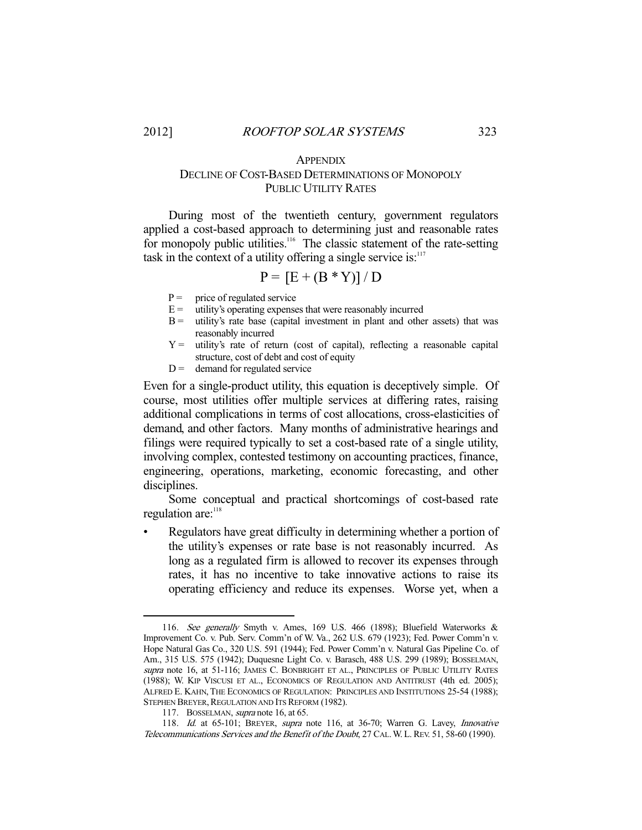# **APPENDIX** DECLINE OF COST-BASED DETERMINATIONS OF MONOPOLY PUBLIC UTILITY RATES

 During most of the twentieth century, government regulators applied a cost-based approach to determining just and reasonable rates for monopoly public utilities.<sup>116</sup> The classic statement of the rate-setting task in the context of a utility offering a single service is: $117$ 

$$
P = [E + (B * Y)] / D
$$

- $P =$  price of regulated service
- $E =$  utility's operating expenses that were reasonably incurred
- $B =$  utility's rate base (capital investment in plant and other assets) that was reasonably incurred
- Y = utility's rate of return (cost of capital), reflecting a reasonable capital structure, cost of debt and cost of equity
- $D =$  demand for regulated service

Even for a single-product utility, this equation is deceptively simple. Of course, most utilities offer multiple services at differing rates, raising additional complications in terms of cost allocations, cross-elasticities of demand, and other factors. Many months of administrative hearings and filings were required typically to set a cost-based rate of a single utility, involving complex, contested testimony on accounting practices, finance, engineering, operations, marketing, economic forecasting, and other disciplines.

 Some conceptual and practical shortcomings of cost-based rate regulation are:<sup>118</sup>

• Regulators have great difficulty in determining whether a portion of the utility's expenses or rate base is not reasonably incurred. As long as a regulated firm is allowed to recover its expenses through rates, it has no incentive to take innovative actions to raise its operating efficiency and reduce its expenses. Worse yet, when a

 <sup>116.</sup> See generally Smyth v. Ames, 169 U.S. 466 (1898); Bluefield Waterworks & Improvement Co. v. Pub. Serv. Comm'n of W. Va., 262 U.S. 679 (1923); Fed. Power Comm'n v. Hope Natural Gas Co., 320 U.S. 591 (1944); Fed. Power Comm'n v. Natural Gas Pipeline Co. of Am., 315 U.S. 575 (1942); Duquesne Light Co. v. Barasch, 488 U.S. 299 (1989); BOSSELMAN, supra note 16, at 51-116; JAMES C. BONBRIGHT ET AL., PRINCIPLES OF PUBLIC UTILITY RATES (1988); W. KIP VISCUSI ET AL., ECONOMICS OF REGULATION AND ANTITRUST (4th ed. 2005); ALFRED E. KAHN, THE ECONOMICS OF REGULATION: PRINCIPLES AND INSTITUTIONS 25-54 (1988); STEPHEN BREYER, REGULATION AND ITS REFORM (1982).

<sup>117.</sup> BOSSELMAN, *supra* note 16, at 65.

<sup>118.</sup> Id. at 65-101; BREYER, supra note 116, at 36-70; Warren G. Lavey, Innovative Telecommunications Services and the Benefit of the Doubt, 27 CAL.W.L.REV. 51, 58-60 (1990).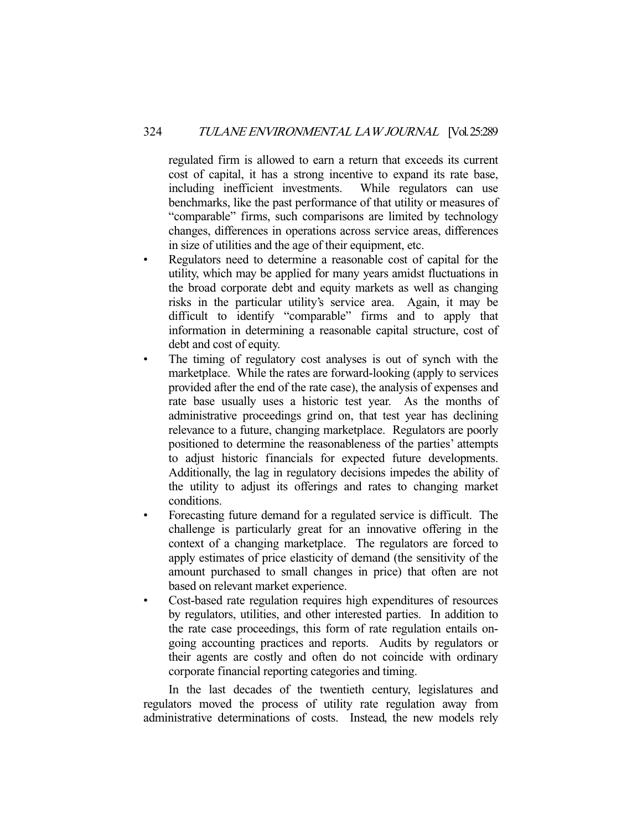regulated firm is allowed to earn a return that exceeds its current cost of capital, it has a strong incentive to expand its rate base, including inefficient investments. While regulators can use benchmarks, like the past performance of that utility or measures of "comparable" firms, such comparisons are limited by technology changes, differences in operations across service areas, differences in size of utilities and the age of their equipment, etc.

- Regulators need to determine a reasonable cost of capital for the utility, which may be applied for many years amidst fluctuations in the broad corporate debt and equity markets as well as changing risks in the particular utility's service area. Again, it may be difficult to identify "comparable" firms and to apply that information in determining a reasonable capital structure, cost of debt and cost of equity.
- The timing of regulatory cost analyses is out of synch with the marketplace. While the rates are forward-looking (apply to services provided after the end of the rate case), the analysis of expenses and rate base usually uses a historic test year. As the months of administrative proceedings grind on, that test year has declining relevance to a future, changing marketplace. Regulators are poorly positioned to determine the reasonableness of the parties' attempts to adjust historic financials for expected future developments. Additionally, the lag in regulatory decisions impedes the ability of the utility to adjust its offerings and rates to changing market conditions.
- Forecasting future demand for a regulated service is difficult. The challenge is particularly great for an innovative offering in the context of a changing marketplace. The regulators are forced to apply estimates of price elasticity of demand (the sensitivity of the amount purchased to small changes in price) that often are not based on relevant market experience.
- Cost-based rate regulation requires high expenditures of resources by regulators, utilities, and other interested parties. In addition to the rate case proceedings, this form of rate regulation entails ongoing accounting practices and reports. Audits by regulators or their agents are costly and often do not coincide with ordinary corporate financial reporting categories and timing.

 In the last decades of the twentieth century, legislatures and regulators moved the process of utility rate regulation away from administrative determinations of costs. Instead, the new models rely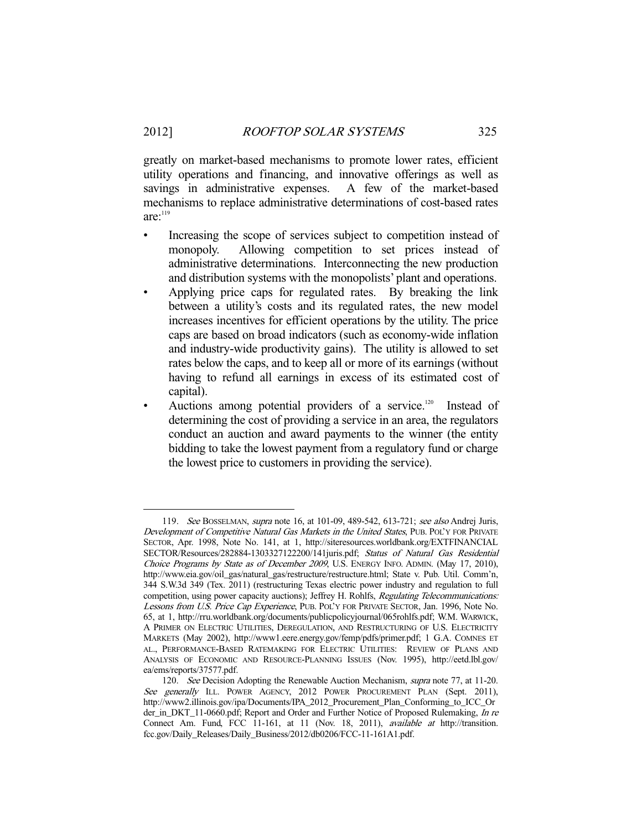greatly on market-based mechanisms to promote lower rates, efficient utility operations and financing, and innovative offerings as well as savings in administrative expenses. A few of the market-based mechanisms to replace administrative determinations of cost-based rates  $are:$ <sup>119</sup>

- Increasing the scope of services subject to competition instead of monopoly. Allowing competition to set prices instead of administrative determinations. Interconnecting the new production and distribution systems with the monopolists' plant and operations.
- Applying price caps for regulated rates. By breaking the link between a utility's costs and its regulated rates, the new model increases incentives for efficient operations by the utility. The price caps are based on broad indicators (such as economy-wide inflation and industry-wide productivity gains). The utility is allowed to set rates below the caps, and to keep all or more of its earnings (without having to refund all earnings in excess of its estimated cost of capital).
- Auctions among potential providers of a service.<sup>120</sup> Instead of determining the cost of providing a service in an area, the regulators conduct an auction and award payments to the winner (the entity bidding to take the lowest payment from a regulatory fund or charge the lowest price to customers in providing the service).

 <sup>119.</sup> See BOSSELMAN, supra note 16, at 101-09, 489-542, 613-721; see also Andrej Juris, Development of Competitive Natural Gas Markets in the United States, PUB. POL'Y FOR PRIVATE SECTOR, Apr. 1998, Note No. 141, at 1, http://siteresources.worldbank.org/EXTFINANCIAL SECTOR/Resources/282884-1303327122200/141juris.pdf; Status of Natural Gas Residential Choice Programs by State as of December 2009, U.S. ENERGY INFO. ADMIN. (May 17, 2010), http://www.eia.gov/oil\_gas/natural\_gas/restructure/restructure.html; State v. Pub. Util. Comm'n, 344 S.W.3d 349 (Tex. 2011) (restructuring Texas electric power industry and regulation to full competition, using power capacity auctions); Jeffrey H. Rohlfs, Regulating Telecommunications: Lessons from U.S. Price Cap Experience, PUB. POL'Y FOR PRIVATE SECTOR, Jan. 1996, Note No. 65, at 1, http://rru.worldbank.org/documents/publicpolicyjournal/065rohlfs.pdf; W.M. WARWICK, A PRIMER ON ELECTRIC UTILITIES, DEREGULATION, AND RESTRUCTURING OF U.S. ELECTRICITY MARKETS (May 2002), http://www1.eere.energy.gov/femp/pdfs/primer.pdf; 1 G.A. COMNES ET AL., PERFORMANCE-BASED RATEMAKING FOR ELECTRIC UTILITIES: REVIEW OF PLANS AND ANALYSIS OF ECONOMIC AND RESOURCE-PLANNING ISSUES (Nov. 1995), http://eetd.lbl.gov/ ea/ems/reports/37577.pdf.

<sup>120.</sup> See Decision Adopting the Renewable Auction Mechanism, *supra* note 77, at 11-20. See generally ILL. POWER AGENCY, 2012 POWER PROCUREMENT PLAN (Sept. 2011), http://www2.illinois.gov/ipa/Documents/IPA\_2012\_Procurement\_Plan\_Conforming\_to\_ICC\_Or der\_in\_DKT\_11-0660.pdf; Report and Order and Further Notice of Proposed Rulemaking, In re Connect Am. Fund, FCC 11-161, at 11 (Nov. 18, 2011), available at http://transition. fcc.gov/Daily\_Releases/Daily\_Business/2012/db0206/FCC-11-161A1.pdf.